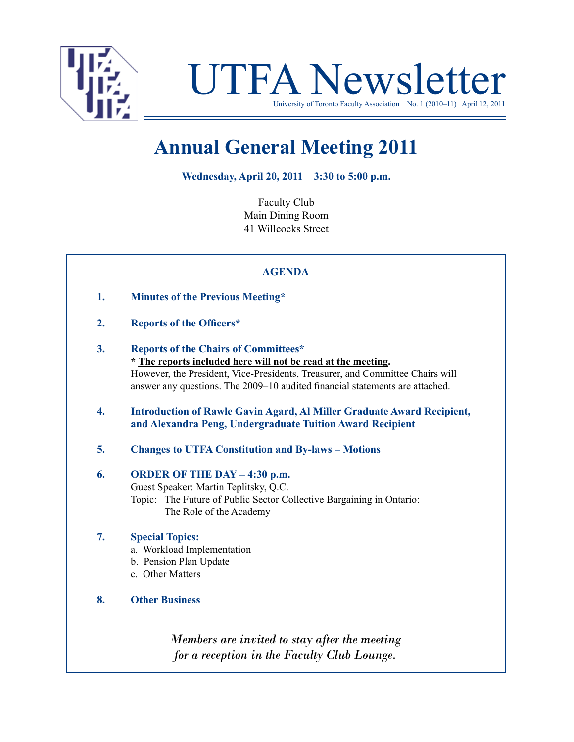

UTFA Newsletter

University of Toronto Faculty Association No. 1 (2010–11) April 12, 2011

# **Annual General Meeting 2011**

**Wednesday, April 20, 2011 3:30 to 5:00 p.m.**

Faculty Club Main Dining Room 41 Willcocks Street

## **AGENDA**

- **1. Minutes of the Previous Meeting\***
- **2. Reports of the Officers\***
- **3. Reports of the Chairs of Committees\* \* The reports included here will not be read at the meeting.** However, the President, Vice-Presidents, Treasurer, and Committee Chairs will answer any questions. The 2009–10 audited financial statements are attached.
- **4. Introduction of Rawle Gavin Agard, Al Miller Graduate Award Recipient, and Alexandra Peng, Undergraduate Tuition Award Recipient**
- **5. Changes to UTFA Constitution and By-laws – Motions**

## **6. ORDER OF THE DAY – 4:30 p.m.** Guest Speaker: Martin Teplitsky, Q.C. Topic: The Future of Public Sector Collective Bargaining in Ontario:

The Role of the Academy

## **7. Special Topics:**

- a. Workload Implementation
- b. Pension Plan Update
- c. Other Matters
- **8. Other Business**

*Members are invited to stay after the meeting for a reception in the Faculty Club Lounge.*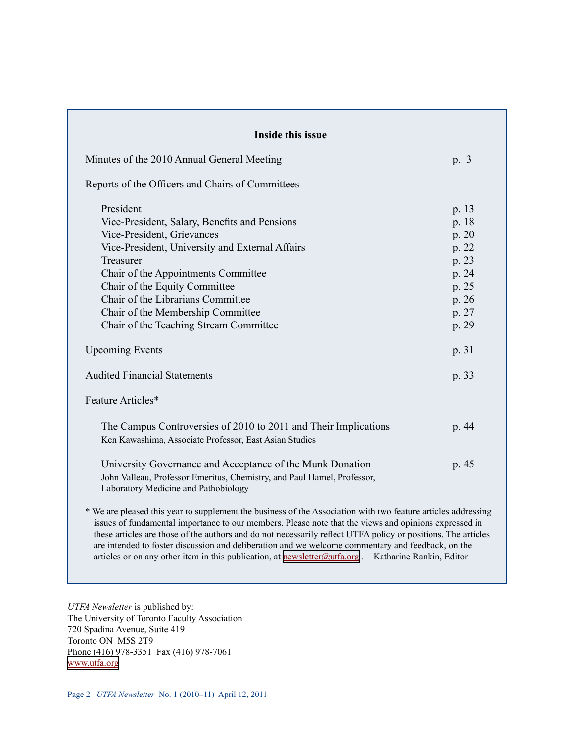| Inside this issue                                                                                                                                                                                                                                                                                                                                                                                                                                                                                                                                         |       |
|-----------------------------------------------------------------------------------------------------------------------------------------------------------------------------------------------------------------------------------------------------------------------------------------------------------------------------------------------------------------------------------------------------------------------------------------------------------------------------------------------------------------------------------------------------------|-------|
| Minutes of the 2010 Annual General Meeting                                                                                                                                                                                                                                                                                                                                                                                                                                                                                                                | p. 3  |
| Reports of the Officers and Chairs of Committees                                                                                                                                                                                                                                                                                                                                                                                                                                                                                                          |       |
| President                                                                                                                                                                                                                                                                                                                                                                                                                                                                                                                                                 | p. 13 |
| Vice-President, Salary, Benefits and Pensions                                                                                                                                                                                                                                                                                                                                                                                                                                                                                                             | p. 18 |
| Vice-President, Grievances                                                                                                                                                                                                                                                                                                                                                                                                                                                                                                                                | p. 20 |
| Vice-President, University and External Affairs                                                                                                                                                                                                                                                                                                                                                                                                                                                                                                           | p. 22 |
| Treasurer                                                                                                                                                                                                                                                                                                                                                                                                                                                                                                                                                 | p. 23 |
| Chair of the Appointments Committee                                                                                                                                                                                                                                                                                                                                                                                                                                                                                                                       | p. 24 |
| Chair of the Equity Committee                                                                                                                                                                                                                                                                                                                                                                                                                                                                                                                             | p. 25 |
| Chair of the Librarians Committee                                                                                                                                                                                                                                                                                                                                                                                                                                                                                                                         | p. 26 |
| Chair of the Membership Committee                                                                                                                                                                                                                                                                                                                                                                                                                                                                                                                         | p. 27 |
| Chair of the Teaching Stream Committee                                                                                                                                                                                                                                                                                                                                                                                                                                                                                                                    | p. 29 |
| <b>Upcoming Events</b>                                                                                                                                                                                                                                                                                                                                                                                                                                                                                                                                    | p. 31 |
| <b>Audited Financial Statements</b>                                                                                                                                                                                                                                                                                                                                                                                                                                                                                                                       | p. 33 |
| Feature Articles*                                                                                                                                                                                                                                                                                                                                                                                                                                                                                                                                         |       |
| The Campus Controversies of 2010 to 2011 and Their Implications<br>Ken Kawashima, Associate Professor, East Asian Studies                                                                                                                                                                                                                                                                                                                                                                                                                                 | p. 44 |
| University Governance and Acceptance of the Munk Donation<br>John Valleau, Professor Emeritus, Chemistry, and Paul Hamel, Professor,<br>Laboratory Medicine and Pathobiology                                                                                                                                                                                                                                                                                                                                                                              | p. 45 |
| * We are pleased this year to supplement the business of the Association with two feature articles addressing<br>issues of fundamental importance to our members. Please note that the views and opinions expressed in<br>these articles are those of the authors and do not necessarily reflect UTFA policy or positions. The articles<br>are intended to foster discussion and deliberation and we welcome commentary and feedback, on the<br>articles or on any other item in this publication, at newsletter $@$ utfa.org. - Katharine Rankin, Editor |       |

*UTFA Newsletter* is published by: The University of Toronto Faculty Association 720 Spadina Avenue, Suite 419 Toronto ON M5S 2T9 Phone (416) 978-3351 Fax (416) 978-7061 [www.utfa.org](http://www.utfa.org)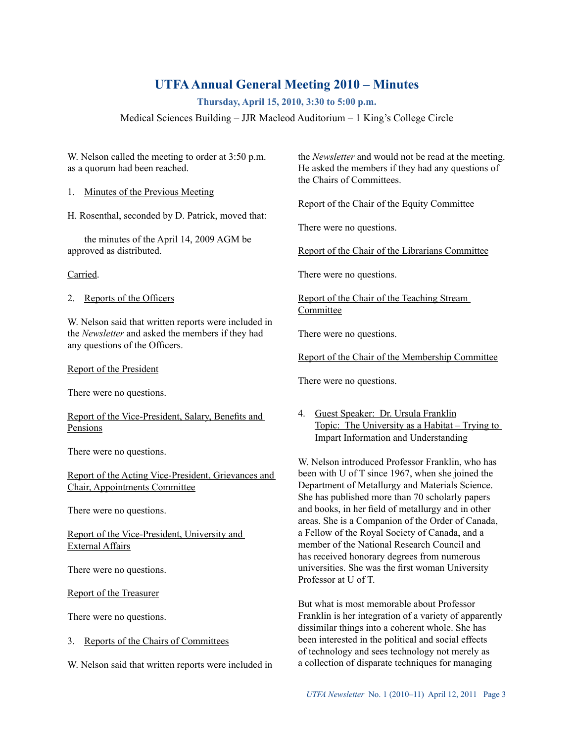# **UTFAAnnual General Meeting 2010 – Minutes**

**Thursday, April 15, 2010, 3:30 to 5:00 p.m.**

Medical Sciences Building – JJR Macleod Auditorium – 1 King's College Circle

W. Nelson called the meeting to order at 3:50 p.m. as a quorum had been reached.

1. Minutes of the Previous Meeting

H. Rosenthal, seconded by D. Patrick, moved that:

the minutes of the April 14, 2009 AGM be approved as distributed.

Carried.

2. Reports of the Officers

W. Nelson said that written reports were included in the *Newsletter* and asked the members if they had any questions of the Officers.

Report of the President

There were no questions.

Report of the Vice-President, Salary, Benefits and Pensions

There were no questions.

Report of the Acting Vice-President, Grievances and Chair, Appointments Committee

There were no questions.

Report of the Vice-President, University and External Affairs

There were no questions.

Report of the Treasurer

There were no questions.

3. Reports of the Chairs of Committees

W. Nelson said that written reports were included in

the *Newsletter* and would not be read at the meeting. He asked the members if they had any questions of the Chairs of Committees.

Report of the Chair of the Equity Committee

There were no questions.

Report of the Chair of the Librarians Committee

There were no questions.

Report of the Chair of the Teaching Stream Committee

There were no questions.

Report of the Chair of the Membership Committee

There were no questions.

4. Guest Speaker: Dr. Ursula Franklin Topic: The University as a Habitat – Trying to Impart Information and Understanding

W. Nelson introduced Professor Franklin, who has been with U of T since 1967, when she joined the Department of Metallurgy and Materials Science. She has published more than 70 scholarly papers and books, in her field of metallurgy and in other areas. She is a Companion of the Order of Canada, a Fellow of the Royal Society of Canada, and a member of the National Research Council and has received honorary degrees from numerous universities. She was the first woman University Professor at U of T.

But what is most memorable about Professor Franklin is her integration of a variety of apparently dissimilar things into a coherent whole. She has been interested in the political and social effects of technology and sees technology not merely as a collection of disparate techniques for managing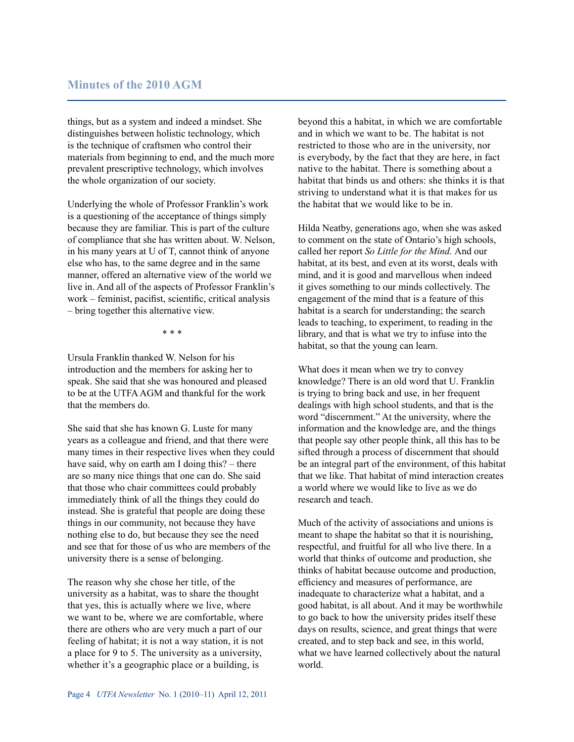things, but as a system and indeed a mindset. She distinguishes between holistic technology, which is the technique of craftsmen who control their materials from beginning to end, and the much more prevalent prescriptive technology, which involves the whole organization of our society.

Underlying the whole of Professor Franklin's work is a questioning of the acceptance of things simply because they are familiar. This is part of the culture of compliance that she has written about. W. Nelson, in his many years at U of T, cannot think of anyone else who has, to the same degree and in the same manner, offered an alternative view of the world we live in. And all of the aspects of Professor Franklin's work – feminist, pacifist, scientific, critical analysis – bring together this alternative view.

*\* \* \**

Ursula Franklin thanked W. Nelson for his introduction and the members for asking her to speak. She said that she was honoured and pleased to be at the UTFA AGM and thankful for the work that the members do.

She said that she has known G. Luste for many years as a colleague and friend, and that there were many times in their respective lives when they could have said, why on earth am I doing this? – there are so many nice things that one can do. She said that those who chair committees could probably immediately think of all the things they could do instead. She is grateful that people are doing these things in our community, not because they have nothing else to do, but because they see the need and see that for those of us who are members of the university there is a sense of belonging.

The reason why she chose her title, of the university as a habitat, was to share the thought that yes, this is actually where we live, where we want to be, where we are comfortable, where there are others who are very much a part of our feeling of habitat; it is not a way station, it is not a place for 9 to 5. The university as a university, whether it's a geographic place or a building, is

beyond this a habitat, in which we are comfortable and in which we want to be. The habitat is not restricted to those who are in the university, nor is everybody, by the fact that they are here, in fact native to the habitat. There is something about a habitat that binds us and others: she thinks it is that striving to understand what it is that makes for us the habitat that we would like to be in.

Hilda Neatby, generations ago, when she was asked to comment on the state of Ontario's high schools, called her report *So Little for the Mind.* And our habitat, at its best, and even at its worst, deals with mind, and it is good and marvellous when indeed it gives something to our minds collectively. The engagement of the mind that is a feature of this habitat is a search for understanding; the search leads to teaching, to experiment, to reading in the library, and that is what we try to infuse into the habitat, so that the young can learn.

What does it mean when we try to convey knowledge? There is an old word that U. Franklin is trying to bring back and use, in her frequent dealings with high school students, and that is the word "discernment." At the university, where the information and the knowledge are, and the things that people say other people think, all this has to be sifted through a process of discernment that should be an integral part of the environment, of this habitat that we like. That habitat of mind interaction creates a world where we would like to live as we do research and teach.

Much of the activity of associations and unions is meant to shape the habitat so that it is nourishing, respectful, and fruitful for all who live there. In a world that thinks of outcome and production, she thinks of habitat because outcome and production, efficiency and measures of performance, are inadequate to characterize what a habitat, and a good habitat, is all about. And it may be worthwhile to go back to how the university prides itself these days on results, science, and great things that were created, and to step back and see, in this world, what we have learned collectively about the natural world.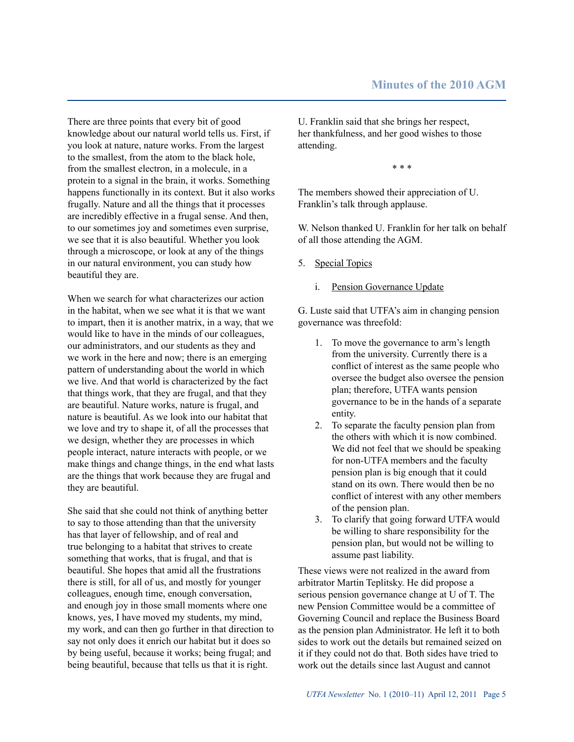There are three points that every bit of good knowledge about our natural world tells us. First, if you look at nature, nature works. From the largest to the smallest, from the atom to the black hole, from the smallest electron, in a molecule, in a protein to a signal in the brain, it works. Something happens functionally in its context. But it also works frugally. Nature and all the things that it processes are incredibly effective in a frugal sense. And then, to our sometimes joy and sometimes even surprise, we see that it is also beautiful. Whether you look through a microscope, or look at any of the things in our natural environment, you can study how beautiful they are.

When we search for what characterizes our action in the habitat, when we see what it is that we want to impart, then it is another matrix, in a way, that we would like to have in the minds of our colleagues, our administrators, and our students as they and we work in the here and now; there is an emerging pattern of understanding about the world in which we live. And that world is characterized by the fact that things work, that they are frugal, and that they are beautiful. Nature works, nature is frugal, and nature is beautiful. As we look into our habitat that we love and try to shape it, of all the processes that we design, whether they are processes in which people interact, nature interacts with people, or we make things and change things, in the end what lasts are the things that work because they are frugal and they are beautiful.

She said that she could not think of anything better to say to those attending than that the university has that layer of fellowship, and of real and true belonging to a habitat that strives to create something that works, that is frugal, and that is beautiful. She hopes that amid all the frustrations there is still, for all of us, and mostly for younger colleagues, enough time, enough conversation, and enough joy in those small moments where one knows, yes, I have moved my students, my mind, my work, and can then go further in that direction to say not only does it enrich our habitat but it does so by being useful, because it works; being frugal; and being beautiful, because that tells us that it is right.

U. Franklin said that she brings her respect, her thankfulness, and her good wishes to those attending.

\* \* \*

The members showed their appreciation of U. Franklin's talk through applause.

W. Nelson thanked U. Franklin for her talk on behalf of all those attending the AGM.

- 5. Special Topics
	- i. Pension Governance Update

G. Luste said that UTFA's aim in changing pension governance was threefold:

- 1. To move the governance to arm's length from the university. Currently there is a conflict of interest as the same people who oversee the budget also oversee the pension plan; therefore, UTFA wants pension governance to be in the hands of a separate entity.
- 2. To separate the faculty pension plan from the others with which it is now combined. We did not feel that we should be speaking for non-UTFA members and the faculty pension plan is big enough that it could stand on its own. There would then be no conflict of interest with any other members of the pension plan.
- 3. To clarify that going forward UTFA would be willing to share responsibility for the pension plan, but would not be willing to assume past liability.

These views were not realized in the award from arbitrator Martin Teplitsky. He did propose a serious pension governance change at U of T. The new Pension Committee would be a committee of Governing Council and replace the Business Board as the pension plan Administrator. He left it to both sides to work out the details but remained seized on it if they could not do that. Both sides have tried to work out the details since last August and cannot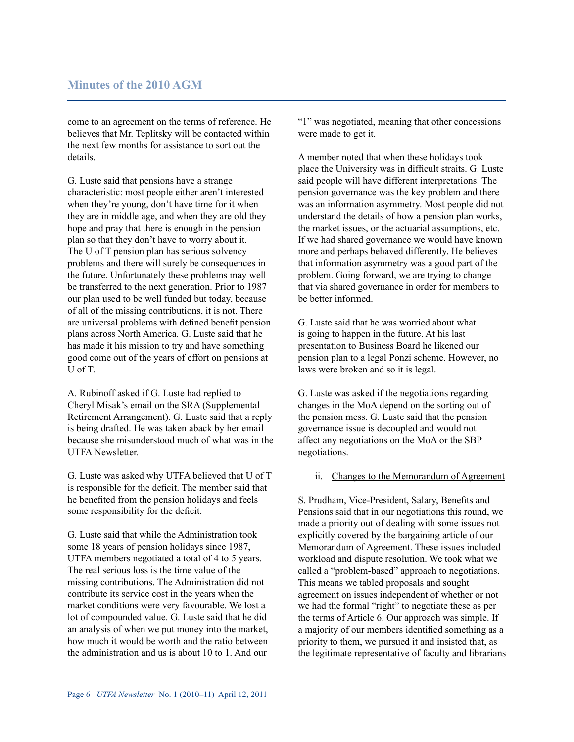## **Minutes of the 2010 AGM**

come to an agreement on the terms of reference. He believes that Mr. Teplitsky will be contacted within the next few months for assistance to sort out the details.

G. Luste said that pensions have a strange characteristic: most people either aren't interested when they're young, don't have time for it when they are in middle age, and when they are old they hope and pray that there is enough in the pension plan so that they don't have to worry about it. The U of T pension plan has serious solvency problems and there will surely be consequences in the future. Unfortunately these problems may well be transferred to the next generation. Prior to 1987 our plan used to be well funded but today, because of all of the missing contributions, it is not. There are universal problems with defined benefit pension plans across North America. G. Luste said that he has made it his mission to try and have something good come out of the years of effort on pensions at U of T.

A. Rubinoff asked if G. Luste had replied to Cheryl Misak's email on the SRA (Supplemental Retirement Arrangement). G. Luste said that a reply is being drafted. He was taken aback by her email because she misunderstood much of what was in the UTFA Newsletter.

G. Luste was asked why UTFA believed that U of T is responsible for the deficit. The member said that he benefited from the pension holidays and feels some responsibility for the deficit.

G. Luste said that while the Administration took some 18 years of pension holidays since 1987, UTFA members negotiated a total of 4 to 5 years. The real serious loss is the time value of the missing contributions. The Administration did not contribute its service cost in the years when the market conditions were very favourable. We lost a lot of compounded value. G. Luste said that he did an analysis of when we put money into the market, how much it would be worth and the ratio between the administration and us is about 10 to 1. And our

"1" was negotiated, meaning that other concessions were made to get it.

A member noted that when these holidays took place the University was in difficult straits. G. Luste said people will have different interpretations. The pension governance was the key problem and there was an information asymmetry. Most people did not understand the details of how a pension plan works, the market issues, or the actuarial assumptions, etc. If we had shared governance we would have known more and perhaps behaved differently. He believes that information asymmetry was a good part of the problem. Going forward, we are trying to change that via shared governance in order for members to be better informed.

G. Luste said that he was worried about what is going to happen in the future. At his last presentation to Business Board he likened our pension plan to a legal Ponzi scheme. However, no laws were broken and so it is legal.

G. Luste was asked if the negotiations regarding changes in the MoA depend on the sorting out of the pension mess. G. Luste said that the pension governance issue is decoupled and would not affect any negotiations on the MoA or the SBP negotiations.

#### ii. Changes to the Memorandum of Agreement

S. Prudham, Vice-President, Salary, Benefits and Pensions said that in our negotiations this round, we made a priority out of dealing with some issues not explicitly covered by the bargaining article of our Memorandum of Agreement. These issues included workload and dispute resolution. We took what we called a "problem-based" approach to negotiations. This means we tabled proposals and sought agreement on issues independent of whether or not we had the formal "right" to negotiate these as per the terms of Article 6. Our approach was simple. If a majority of our members identified something as a priority to them, we pursued it and insisted that, as the legitimate representative of faculty and librarians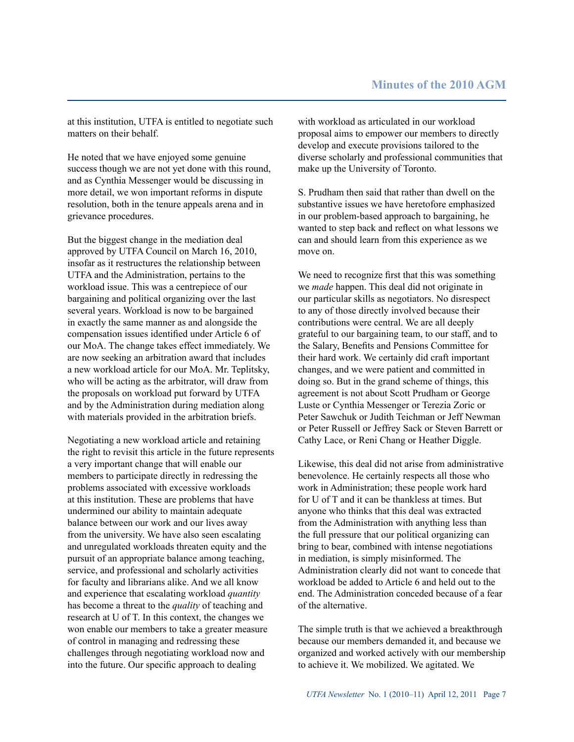at this institution, UTFA is entitled to negotiate such matters on their behalf.

He noted that we have enjoyed some genuine success though we are not yet done with this round, and as Cynthia Messenger would be discussing in more detail, we won important reforms in dispute resolution, both in the tenure appeals arena and in grievance procedures.

But the biggest change in the mediation deal approved by UTFA Council on March 16, 2010, insofar as it restructures the relationship between UTFA and the Administration, pertains to the workload issue. This was a centrepiece of our bargaining and political organizing over the last several years. Workload is now to be bargained in exactly the same manner as and alongside the compensation issues identified under Article 6 of our MoA. The change takes effect immediately. We are now seeking an arbitration award that includes a new workload article for our MoA. Mr. Teplitsky, who will be acting as the arbitrator, will draw from the proposals on workload put forward by UTFA and by the Administration during mediation along with materials provided in the arbitration briefs.

Negotiating a new workload article and retaining the right to revisit this article in the future represents a very important change that will enable our members to participate directly in redressing the problems associated with excessive workloads at this institution. These are problems that have undermined our ability to maintain adequate balance between our work and our lives away from the university. We have also seen escalating and unregulated workloads threaten equity and the pursuit of an appropriate balance among teaching, service, and professional and scholarly activities for faculty and librarians alike. And we all know and experience that escalating workload *quantity* has become a threat to the *quality* of teaching and research at U of T. In this context, the changes we won enable our members to take a greater measure of control in managing and redressing these challenges through negotiating workload now and into the future. Our specific approach to dealing

with workload as articulated in our workload proposal aims to empower our members to directly develop and execute provisions tailored to the diverse scholarly and professional communities that make up the University of Toronto.

S. Prudham then said that rather than dwell on the substantive issues we have heretofore emphasized in our problem-based approach to bargaining, he wanted to step back and reflect on what lessons we can and should learn from this experience as we move on.

We need to recognize first that this was something we *made* happen. This deal did not originate in our particular skills as negotiators. No disrespect to any of those directly involved because their contributions were central. We are all deeply grateful to our bargaining team, to our staff, and to the Salary, Benefits and Pensions Committee for their hard work. We certainly did craft important changes, and we were patient and committed in doing so. But in the grand scheme of things, this agreement is not about Scott Prudham or George Luste or Cynthia Messenger or Terezia Zoric or Peter Sawchuk or Judith Teichman or Jeff Newman or Peter Russell or Jeffrey Sack or Steven Barrett or Cathy Lace, or Reni Chang or Heather Diggle.

Likewise, this deal did not arise from administrative benevolence. He certainly respects all those who work in Administration; these people work hard for U of T and it can be thankless at times. But anyone who thinks that this deal was extracted from the Administration with anything less than the full pressure that our political organizing can bring to bear, combined with intense negotiations in mediation, is simply misinformed. The Administration clearly did not want to concede that workload be added to Article 6 and held out to the end. The Administration conceded because of a fear of the alternative.

The simple truth is that we achieved a breakthrough because our members demanded it, and because we organized and worked actively with our membership to achieve it. We mobilized. We agitated. We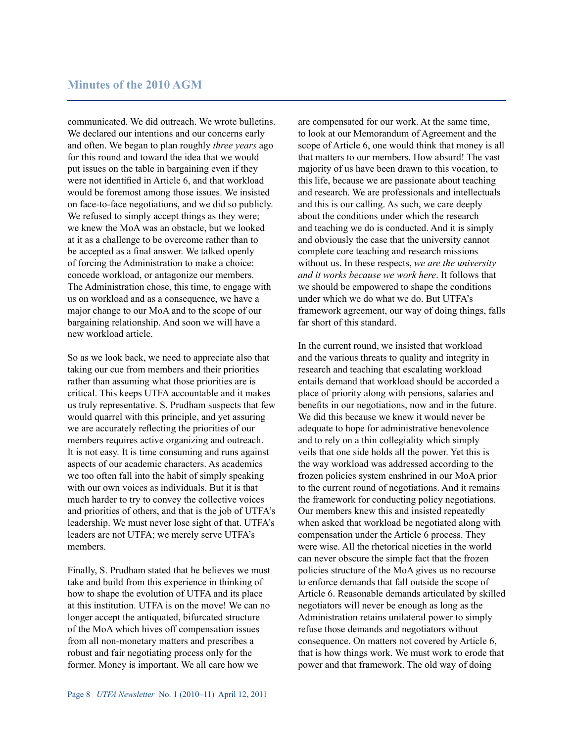communicated. We did outreach. We wrote bulletins. We declared our intentions and our concerns early and often. We began to plan roughly *three years* ago for this round and toward the idea that we would put issues on the table in bargaining even if they were not identified in Article 6, and that workload would be foremost among those issues. We insisted on face-to-face negotiations, and we did so publicly. We refused to simply accept things as they were; we knew the MoA was an obstacle, but we looked at it as a challenge to be overcome rather than to be accepted as a final answer. We talked openly of forcing the Administration to make a choice: concede workload, or antagonize our members. The Administration chose, this time, to engage with us on workload and as a consequence, we have a major change to our MoA and to the scope of our bargaining relationship. And soon we will have a new workload article.

So as we look back, we need to appreciate also that taking our cue from members and their priorities rather than assuming what those priorities are is critical. This keeps UTFA accountable and it makes us truly representative. S. Prudham suspects that few would quarrel with this principle, and yet assuring we are accurately reflecting the priorities of our members requires active organizing and outreach. It is not easy. It is time consuming and runs against aspects of our academic characters. As academics we too often fall into the habit of simply speaking with our own voices as individuals. But it is that much harder to try to convey the collective voices and priorities of others, and that is the job of UTFA's leadership. We must never lose sight of that. UTFA's leaders are not UTFA; we merely serve UTFA's members.

Finally, S. Prudham stated that he believes we must take and build from this experience in thinking of how to shape the evolution of UTFA and its place at this institution. UTFA is on the move! We can no longer accept the antiquated, bifurcated structure of the MoA which hives off compensation issues from all non-monetary matters and prescribes a robust and fair negotiating process only for the former. Money is important. We all care how we

are compensated for our work. At the same time, to look at our Memorandum of Agreement and the scope of Article 6, one would think that money is all that matters to our members. How absurd! The vast majority of us have been drawn to this vocation, to this life, because we are passionate about teaching and research. We are professionals and intellectuals and this is our calling. As such, we care deeply about the conditions under which the research and teaching we do is conducted. And it is simply and obviously the case that the university cannot complete core teaching and research missions without us. In these respects, *we are the university and it works because we work here*. It follows that we should be empowered to shape the conditions under which we do what we do. But UTFA's framework agreement, our way of doing things, falls far short of this standard.

In the current round, we insisted that workload and the various threats to quality and integrity in research and teaching that escalating workload entails demand that workload should be accorded a place of priority along with pensions, salaries and benefits in our negotiations, now and in the future. We did this because we knew it would never be adequate to hope for administrative benevolence and to rely on a thin collegiality which simply veils that one side holds all the power. Yet this is the way workload was addressed according to the frozen policies system enshrined in our MoA prior to the current round of negotiations. And it remains the framework for conducting policy negotiations. Our members knew this and insisted repeatedly when asked that workload be negotiated along with compensation under the Article 6 process. They were wise. All the rhetorical niceties in the world can never obscure the simple fact that the frozen policies structure of the MoA gives us no recourse to enforce demands that fall outside the scope of Article 6. Reasonable demands articulated by skilled negotiators will never be enough as long as the Administration retains unilateral power to simply refuse those demands and negotiators without consequence. On matters not covered by Article 6, that is how things work. We must work to erode that power and that framework. The old way of doing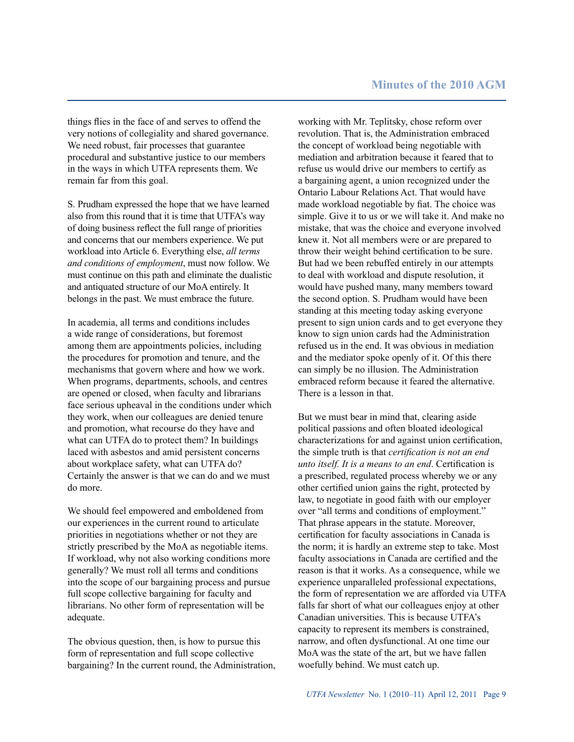things flies in the face of and serves to offend the very notions of collegiality and shared governance. We need robust, fair processes that guarantee procedural and substantive justice to our members in the ways in which UTFA represents them. We remain far from this goal.

S. Prudham expressed the hope that we have learned also from this round that it is time that UTFA's way of doing business reflect the full range of priorities and concerns that our members experience. We put workload into Article 6. Everything else, *all terms and conditions of employment*, must now follow. We must continue on this path and eliminate the dualistic and antiquated structure of our MoA entirely. It belongs in the past. We must embrace the future.

In academia, all terms and conditions includes a wide range of considerations, but foremost among them are appointments policies, including the procedures for promotion and tenure, and the mechanisms that govern where and how we work. When programs, departments, schools, and centres are opened or closed, when faculty and librarians face serious upheaval in the conditions under which they work, when our colleagues are denied tenure and promotion, what recourse do they have and what can UTFA do to protect them? In buildings laced with asbestos and amid persistent concerns about workplace safety, what can UTFA do? Certainly the answer is that we can do and we must do more.

We should feel empowered and emboldened from our experiences in the current round to articulate priorities in negotiations whether or not they are strictly prescribed by the MoA as negotiable items. If workload, why not also working conditions more generally? We must roll all terms and conditions into the scope of our bargaining process and pursue full scope collective bargaining for faculty and librarians. No other form of representation will be adequate.

The obvious question, then, is how to pursue this form of representation and full scope collective bargaining? In the current round, the Administration, working with Mr. Teplitsky, chose reform over revolution. That is, the Administration embraced the concept of workload being negotiable with mediation and arbitration because it feared that to refuse us would drive our members to certify as a bargaining agent, a union recognized under the Ontario Labour Relations Act. That would have made workload negotiable by fiat. The choice was simple. Give it to us or we will take it. And make no mistake, that was the choice and everyone involved knew it. Not all members were or are prepared to throw their weight behind certification to be sure. But had we been rebuffed entirely in our attempts to deal with workload and dispute resolution, it would have pushed many, many members toward the second option. S. Prudham would have been standing at this meeting today asking everyone present to sign union cards and to get everyone they know to sign union cards had the Administration refused us in the end. It was obvious in mediation and the mediator spoke openly of it. Of this there can simply be no illusion. The Administration embraced reform because it feared the alternative. There is a lesson in that.

But we must bear in mind that, clearing aside political passions and often bloated ideological characterizations for and against union certification, the simple truth is that *certification is not an end unto itself. It is a means to an end*. Certification is a prescribed, regulated process whereby we or any other certified union gains the right, protected by law, to negotiate in good faith with our employer over "all terms and conditions of employment." That phrase appears in the statute. Moreover, certification for faculty associations in Canada is the norm; it is hardly an extreme step to take. Most faculty associations in Canada are certified and the reason is that it works. As a consequence, while we experience unparalleled professional expectations, the form of representation we are afforded via UTFA falls far short of what our colleagues enjoy at other Canadian universities. This is because UTFA's capacity to represent its members is constrained, narrow, and often dysfunctional. At one time our MoA was the state of the art, but we have fallen woefully behind. We must catch up.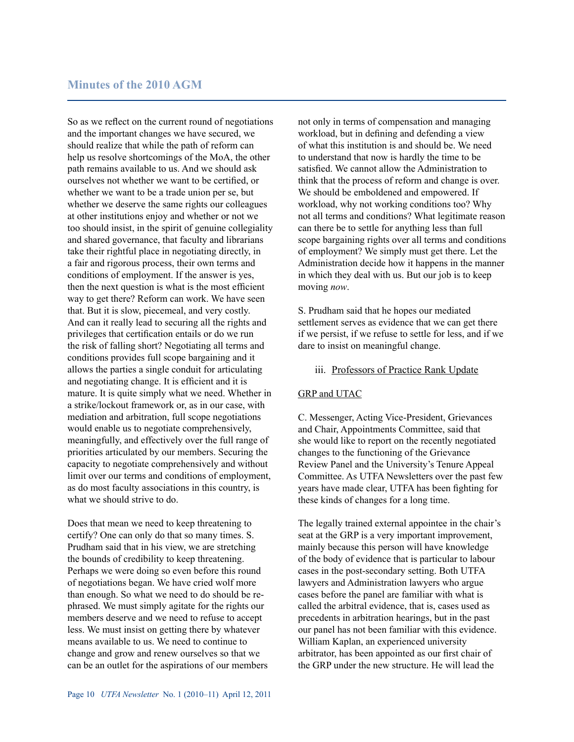So as we reflect on the current round of negotiations and the important changes we have secured, we should realize that while the path of reform can help us resolve shortcomings of the MoA, the other path remains available to us. And we should ask ourselves not whether we want to be certified, or whether we want to be a trade union per se, but whether we deserve the same rights our colleagues at other institutions enjoy and whether or not we too should insist, in the spirit of genuine collegiality and shared governance, that faculty and librarians take their rightful place in negotiating directly, in a fair and rigorous process, their own terms and conditions of employment. If the answer is yes, then the next question is what is the most efficient way to get there? Reform can work. We have seen that. But it is slow, piecemeal, and very costly. And can it really lead to securing all the rights and privileges that certification entails or do we run the risk of falling short? Negotiating all terms and conditions provides full scope bargaining and it allows the parties a single conduit for articulating and negotiating change. It is efficient and it is mature. It is quite simply what we need. Whether in a strike/lockout framework or, as in our case, with mediation and arbitration, full scope negotiations would enable us to negotiate comprehensively, meaningfully, and effectively over the full range of priorities articulated by our members. Securing the capacity to negotiate comprehensively and without limit over our terms and conditions of employment, as do most faculty associations in this country, is what we should strive to do.

Does that mean we need to keep threatening to certify? One can only do that so many times. S. Prudham said that in his view, we are stretching the bounds of credibility to keep threatening. Perhaps we were doing so even before this round of negotiations began. We have cried wolf more than enough. So what we need to do should be rephrased. We must simply agitate for the rights our members deserve and we need to refuse to accept less. We must insist on getting there by whatever means available to us. We need to continue to change and grow and renew ourselves so that we can be an outlet for the aspirations of our members not only in terms of compensation and managing workload, but in defining and defending a view of what this institution is and should be. We need to understand that now is hardly the time to be satisfied. We cannot allow the Administration to think that the process of reform and change is over. We should be emboldened and empowered. If workload, why not working conditions too? Why not all terms and conditions? What legitimate reason can there be to settle for anything less than full scope bargaining rights over all terms and conditions of employment? We simply must get there. Let the Administration decide how it happens in the manner in which they deal with us. But our job is to keep moving *now*.

S. Prudham said that he hopes our mediated settlement serves as evidence that we can get there if we persist, if we refuse to settle for less, and if we dare to insist on meaningful change.

#### iii. Professors of Practice Rank Update

#### GRP and UTAC

C. Messenger, Acting Vice-President, Grievances and Chair, Appointments Committee, said that she would like to report on the recently negotiated changes to the functioning of the Grievance Review Panel and the University's Tenure Appeal Committee. As UTFA Newsletters over the past few years have made clear, UTFA has been fighting for these kinds of changes for a long time.

The legally trained external appointee in the chair's seat at the GRP is a very important improvement, mainly because this person will have knowledge of the body of evidence that is particular to labour cases in the post-secondary setting. Both UTFA lawyers and Administration lawyers who argue cases before the panel are familiar with what is called the arbitral evidence, that is, cases used as precedents in arbitration hearings, but in the past our panel has not been familiar with this evidence. William Kaplan, an experienced university arbitrator, has been appointed as our first chair of the GRP under the new structure. He will lead the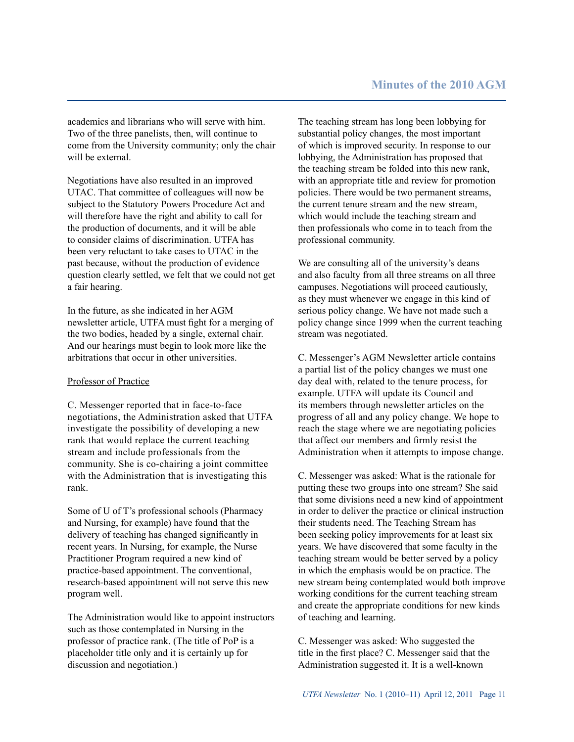academics and librarians who will serve with him. Two of the three panelists, then, will continue to come from the University community; only the chair will be external

Negotiations have also resulted in an improved UTAC. That committee of colleagues will now be subject to the Statutory Powers Procedure Act and will therefore have the right and ability to call for the production of documents, and it will be able to consider claims of discrimination. UTFA has been very reluctant to take cases to UTAC in the past because, without the production of evidence question clearly settled, we felt that we could not get a fair hearing.

In the future, as she indicated in her AGM newsletter article, UTFA must fight for a merging of the two bodies, headed by a single, external chair. And our hearings must begin to look more like the arbitrations that occur in other universities.

## Professor of Practice

C. Messenger reported that in face-to-face negotiations, the Administration asked that UTFA investigate the possibility of developing a new rank that would replace the current teaching stream and include professionals from the community. She is co-chairing a joint committee with the Administration that is investigating this rank.

Some of U of T's professional schools (Pharmacy and Nursing, for example) have found that the delivery of teaching has changed significantly in recent years. In Nursing, for example, the Nurse Practitioner Program required a new kind of practice-based appointment. The conventional, research-based appointment will not serve this new program well.

The Administration would like to appoint instructors such as those contemplated in Nursing in the professor of practice rank. (The title of PoP is a placeholder title only and it is certainly up for discussion and negotiation.)

The teaching stream has long been lobbying for substantial policy changes, the most important of which is improved security. In response to our lobbying, the Administration has proposed that the teaching stream be folded into this new rank, with an appropriate title and review for promotion policies. There would be two permanent streams, the current tenure stream and the new stream, which would include the teaching stream and then professionals who come in to teach from the professional community.

We are consulting all of the university's deans and also faculty from all three streams on all three campuses. Negotiations will proceed cautiously, as they must whenever we engage in this kind of serious policy change. We have not made such a policy change since 1999 when the current teaching stream was negotiated.

C. Messenger's AGM Newsletter article contains a partial list of the policy changes we must one day deal with, related to the tenure process, for example. UTFA will update its Council and its members through newsletter articles on the progress of all and any policy change. We hope to reach the stage where we are negotiating policies that affect our members and firmly resist the Administration when it attempts to impose change.

C. Messenger was asked: What is the rationale for putting these two groups into one stream? She said that some divisions need a new kind of appointment in order to deliver the practice or clinical instruction their students need. The Teaching Stream has been seeking policy improvements for at least six years. We have discovered that some faculty in the teaching stream would be better served by a policy in which the emphasis would be on practice. The new stream being contemplated would both improve working conditions for the current teaching stream and create the appropriate conditions for new kinds of teaching and learning.

C. Messenger was asked: Who suggested the title in the first place? C. Messenger said that the Administration suggested it. It is a well-known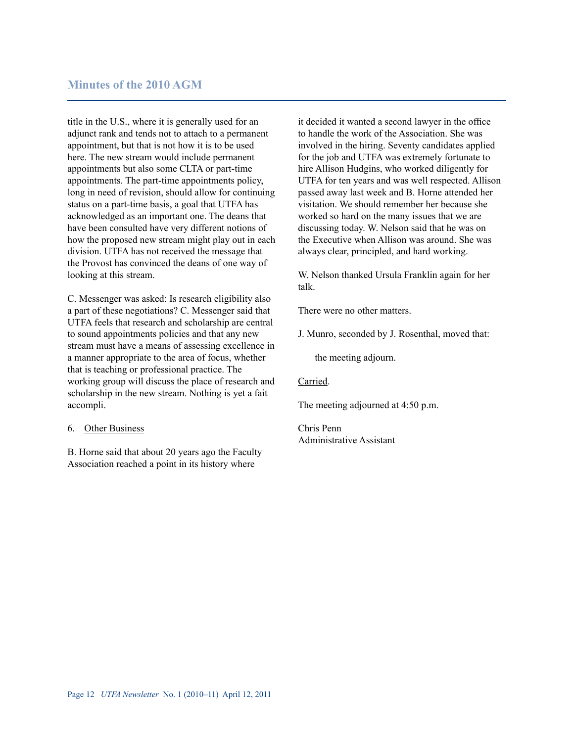title in the U.S., where it is generally used for an adjunct rank and tends not to attach to a permanent appointment, but that is not how it is to be used here. The new stream would include permanent appointments but also some CLTA or part-time appointments. The part-time appointments policy, long in need of revision, should allow for continuing status on a part-time basis, a goal that UTFA has acknowledged as an important one. The deans that have been consulted have very different notions of how the proposed new stream might play out in each division. UTFA has not received the message that the Provost has convinced the deans of one way of looking at this stream.

C. Messenger was asked: Is research eligibility also a part of these negotiations? C. Messenger said that UTFA feels that research and scholarship are central to sound appointments policies and that any new stream must have a means of assessing excellence in a manner appropriate to the area of focus, whether that is teaching or professional practice. The working group will discuss the place of research and scholarship in the new stream. Nothing is yet a fait accompli.

#### 6. Other Business

B. Horne said that about 20 years ago the Faculty Association reached a point in its history where

it decided it wanted a second lawyer in the office to handle the work of the Association. She was involved in the hiring. Seventy candidates applied for the job and UTFA was extremely fortunate to hire Allison Hudgins, who worked diligently for UTFA for ten years and was well respected. Allison passed away last week and B. Horne attended her visitation. We should remember her because she worked so hard on the many issues that we are discussing today. W. Nelson said that he was on the Executive when Allison was around. She was always clear, principled, and hard working.

W. Nelson thanked Ursula Franklin again for her talk.

There were no other matters.

J. Munro, seconded by J. Rosenthal, moved that:

the meeting adjourn.

#### Carried.

The meeting adjourned at 4:50 p.m.

Chris Penn Administrative Assistant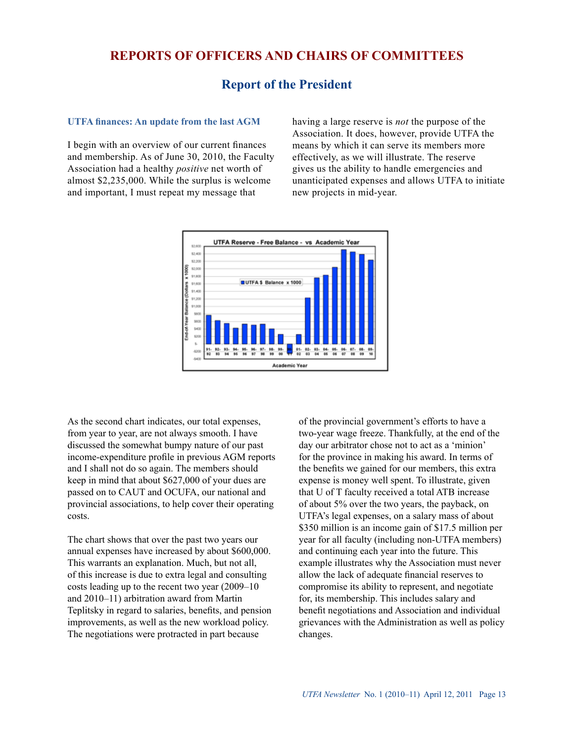## **Reports of Officers and Chairs of Committees**

## **Report of the President**

#### **UTFA finances: An update from the last AGM**

I begin with an overview of our current finances and membership. As of June 30, 2010, the Faculty Association had a healthy *positive* net worth of almost \$2,235,000. While the surplus is welcome and important, I must repeat my message that

having a large reserve is *not* the purpose of the Association. It does, however, provide UTFA the means by which it can serve its members more effectively, as we will illustrate. The reserve gives us the ability to handle emergencies and unanticipated expenses and allows UTFA to initiate new projects in mid-year.



As the second chart indicates, our total expenses, from year to year, are not always smooth. I have discussed the somewhat bumpy nature of our past income-expenditure profile in previous AGM reports and I shall not do so again. The members should keep in mind that about \$627,000 of your dues are passed on to CAUT and OCUFA, our national and provincial associations, to help cover their operating costs.

The chart shows that over the past two years our annual expenses have increased by about \$600,000. This warrants an explanation. Much, but not all, of this increase is due to extra legal and consulting costs leading up to the recent two year (2009–10 and 2010–11) arbitration award from Martin Teplitsky in regard to salaries, benefits, and pension improvements, as well as the new workload policy. The negotiations were protracted in part because

of the provincial government's efforts to have a two-year wage freeze. Thankfully, at the end of the day our arbitrator chose not to act as a 'minion' for the province in making his award. In terms of the benefits we gained for our members, this extra expense is money well spent. To illustrate, given that U of T faculty received a total ATB increase of about 5% over the two years, the payback, on UTFA's legal expenses, on a salary mass of about \$350 million is an income gain of \$17.5 million per year for all faculty (including non-UTFA members) and continuing each year into the future. This example illustrates why the Association must never allow the lack of adequate financial reserves to compromise its ability to represent, and negotiate for, its membership. This includes salary and benefit negotiations and Association and individual grievances with the Administration as well as policy changes.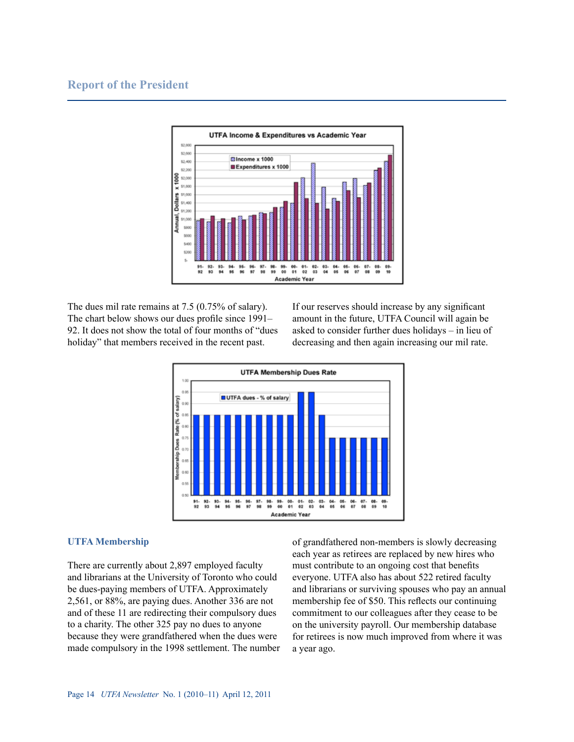## **Report of the President**



The dues mil rate remains at 7.5 (0.75% of salary). The chart below shows our dues profile since 1991– 92. It does not show the total of four months of "dues holiday" that members received in the recent past.

If our reserves should increase by any significant amount in the future, UTFA Council will again be asked to consider further dues holidays – in lieu of decreasing and then again increasing our mil rate.



#### **UTFA Membership**

There are currently about 2,897 employed faculty and librarians at the University of Toronto who could be dues-paying members of UTFA. Approximately 2,561, or 88%, are paying dues. Another 336 are not and of these 11 are redirecting their compulsory dues to a charity. The other 325 pay no dues to anyone because they were grandfathered when the dues were made compulsory in the 1998 settlement. The number

of grandfathered non-members is slowly decreasing each year as retirees are replaced by new hires who must contribute to an ongoing cost that benefits everyone. UTFA also has about 522 retired faculty and librarians or surviving spouses who pay an annual membership fee of \$50. This reflects our continuing commitment to our colleagues after they cease to be on the university payroll. Our membership database for retirees is now much improved from where it was a year ago.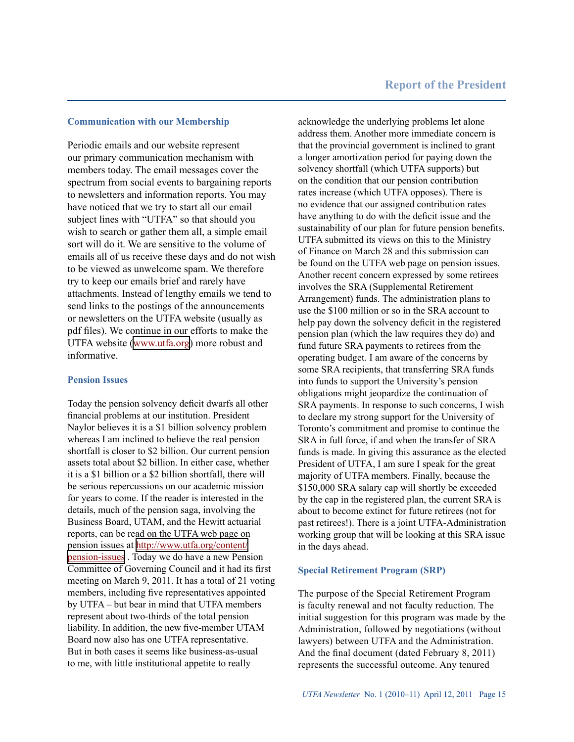#### **Communication with our Membership**

Periodic emails and our website represent our primary communication mechanism with members today. The email messages cover the spectrum from social events to bargaining reports to newsletters and information reports. You may have noticed that we try to start all our email subject lines with "UTFA" so that should you wish to search or gather them all, a simple email sort will do it. We are sensitive to the volume of emails all of us receive these days and do not wish to be viewed as unwelcome spam. We therefore try to keep our emails brief and rarely have attachments. Instead of lengthy emails we tend to send links to the postings of the announcements or newsletters on the UTFA website (usually as pdf files). We continue in our efforts to make the UTFA website [\(www.utfa.org](http://www.utfa.org)) more robust and informative.

#### **Pension Issues**

Today the pension solvency deficit dwarfs all other financial problems at our institution. President Naylor believes it is a \$1 billion solvency problem whereas I am inclined to believe the real pension shortfall is closer to \$2 billion. Our current pension assets total about \$2 billion. In either case, whether it is a \$1 billion or a \$2 billion shortfall, there will be serious repercussions on our academic mission for years to come. If the reader is interested in the details, much of the pension saga, involving the Business Board, UTAM, and the Hewitt actuarial reports, can be read on the UTFA web page on pension issues at [http://www.utfa.org/content/](http://www.utfa.org/content/pension-issues) [pension-issues](http://www.utfa.org/content/pension-issues) . Today we do have a new Pension Committee of Governing Council and it had its first meeting on March 9, 2011. It has a total of 21 voting members, including five representatives appointed by UTFA – but bear in mind that UTFA members represent about two-thirds of the total pension liability. In addition, the new five-member UTAM Board now also has one UTFA representative. But in both cases it seems like business-as-usual to me, with little institutional appetite to really

acknowledge the underlying problems let alone address them. Another more immediate concern is that the provincial government is inclined to grant a longer amortization period for paying down the solvency shortfall (which UTFA supports) but on the condition that our pension contribution rates increase (which UTFA opposes). There is no evidence that our assigned contribution rates have anything to do with the deficit issue and the sustainability of our plan for future pension benefits. UTFA submitted its views on this to the Ministry of Finance on March 28 and this submission can be found on the UTFA web page on pension issues. Another recent concern expressed by some retirees involves the SRA (Supplemental Retirement Arrangement) funds. The administration plans to use the \$100 million or so in the SRA account to help pay down the solvency deficit in the registered pension plan (which the law requires they do) and fund future SRA payments to retirees from the operating budget. I am aware of the concerns by some SRA recipients, that transferring SRA funds into funds to support the University's pension obligations might jeopardize the continuation of SRA payments. In response to such concerns, I wish to declare my strong support for the University of Toronto's commitment and promise to continue the SRA in full force, if and when the transfer of SRA funds is made. In giving this assurance as the elected President of UTFA, I am sure I speak for the great majority of UTFA members. Finally, because the \$150,000 SRA salary cap will shortly be exceeded by the cap in the registered plan, the current SRA is about to become extinct for future retirees (not for past retirees!). There is a joint UTFA-Administration working group that will be looking at this SRA issue in the days ahead.

#### **Special Retirement Program (SRP)**

The purpose of the Special Retirement Program is faculty renewal and not faculty reduction. The initial suggestion for this program was made by the Administration, followed by negotiations (without lawyers) between UTFA and the Administration. And the final document (dated February 8, 2011) represents the successful outcome. Any tenured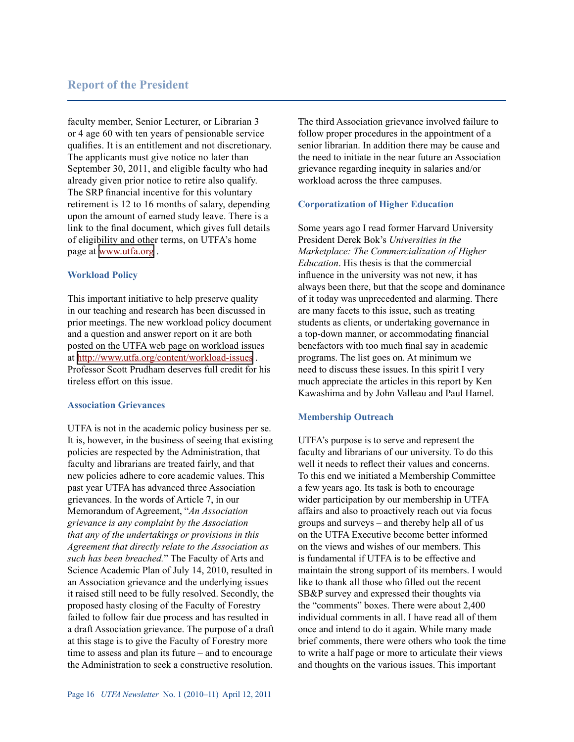## **Report of the President**

faculty member, Senior Lecturer, or Librarian 3 or 4 age 60 with ten years of pensionable service qualifies. It is an entitlement and not discretionary. The applicants must give notice no later than September 30, 2011, and eligible faculty who had already given prior notice to retire also qualify. The SRP financial incentive for this voluntary retirement is 12 to 16 months of salary, depending upon the amount of earned study leave. There is a link to the final document, which gives full details of eligibility and other terms, on UTFA's home page at [www.utfa.org](http://www.utfa.org) .

#### **Workload Policy**

This important initiative to help preserve quality in our teaching and research has been discussed in prior meetings. The new workload policy document and a question and answer report on it are both posted on the UTFA web page on workload issues at<http://www.utfa.org/content/workload-issues> . Professor Scott Prudham deserves full credit for his tireless effort on this issue.

#### **Association Grievances**

UTFA is not in the academic policy business per se. It is, however, in the business of seeing that existing policies are respected by the Administration, that faculty and librarians are treated fairly, and that new policies adhere to core academic values. This past year UTFA has advanced three Association grievances. In the words of Article 7, in our Memorandum of Agreement, "*An Association grievance is any complaint by the Association that any of the undertakings or provisions in this Agreement that directly relate to the Association as such has been breached.*" The Faculty of Arts and Science Academic Plan of July 14, 2010, resulted in an Association grievance and the underlying issues it raised still need to be fully resolved. Secondly, the proposed hasty closing of the Faculty of Forestry failed to follow fair due process and has resulted in a draft Association grievance. The purpose of a draft at this stage is to give the Faculty of Forestry more time to assess and plan its future – and to encourage the Administration to seek a constructive resolution.

The third Association grievance involved failure to follow proper procedures in the appointment of a senior librarian. In addition there may be cause and the need to initiate in the near future an Association grievance regarding inequity in salaries and/or workload across the three campuses.

#### **Corporatization of Higher Education**

Some years ago I read former Harvard University President Derek Bok's *Universities in the Marketplace: The Commercialization of Higher Education*. His thesis is that the commercial influence in the university was not new, it has always been there, but that the scope and dominance of it today was unprecedented and alarming. There are many facets to this issue, such as treating students as clients, or undertaking governance in a top-down manner, or accommodating financial benefactors with too much final say in academic programs. The list goes on. At minimum we need to discuss these issues. In this spirit I very much appreciate the articles in this report by Ken Kawashima and by John Valleau and Paul Hamel.

#### **Membership Outreach**

UTFA's purpose is to serve and represent the faculty and librarians of our university. To do this well it needs to reflect their values and concerns. To this end we initiated a Membership Committee a few years ago. Its task is both to encourage wider participation by our membership in UTFA affairs and also to proactively reach out via focus groups and surveys – and thereby help all of us on the UTFA Executive become better informed on the views and wishes of our members. This is fundamental if UTFA is to be effective and maintain the strong support of its members. I would like to thank all those who filled out the recent SB&P survey and expressed their thoughts via the "comments" boxes. There were about 2,400 individual comments in all. I have read all of them once and intend to do it again. While many made brief comments, there were others who took the time to write a half page or more to articulate their views and thoughts on the various issues. This important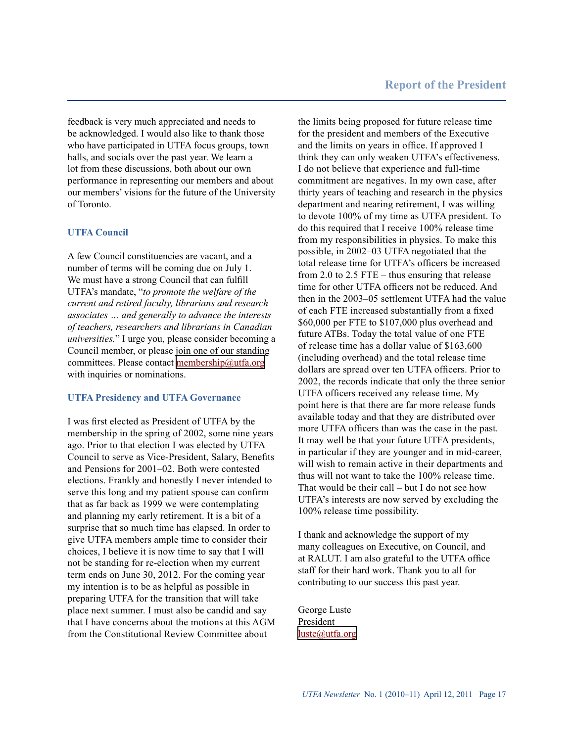feedback is very much appreciated and needs to be acknowledged. I would also like to thank those who have participated in UTFA focus groups, town halls, and socials over the past year. We learn a lot from these discussions, both about our own performance in representing our members and about our members' visions for the future of the University of Toronto.

#### **UTFA Council**

A few Council constituencies are vacant, and a number of terms will be coming due on July 1. We must have a strong Council that can fulfill UTFA's mandate, "*to promote the welfare of the current and retired faculty, librarians and research associates … and generally to advance the interests of teachers, researchers and librarians in Canadian universities.*" I urge you, please consider becoming a Council member, or please join one of our standing committees. Please contact [membership@utfa.org](mailto:membership@utfa.org) with inquiries or nominations.

#### **UTFA Presidency and UTFA Governance**

I was first elected as President of UTFA by the membership in the spring of 2002, some nine years ago. Prior to that election I was elected by UTFA Council to serve as Vice-President, Salary, Benefits and Pensions for 2001–02. Both were contested elections. Frankly and honestly I never intended to serve this long and my patient spouse can confirm that as far back as 1999 we were contemplating and planning my early retirement. It is a bit of a surprise that so much time has elapsed. In order to give UTFA members ample time to consider their choices, I believe it is now time to say that I will not be standing for re-election when my current term ends on June 30, 2012. For the coming year my intention is to be as helpful as possible in preparing UTFA for the transition that will take place next summer. I must also be candid and say that I have concerns about the motions at this AGM from the Constitutional Review Committee about

the limits being proposed for future release time for the president and members of the Executive and the limits on years in office. If approved I think they can only weaken UTFA's effectiveness. I do not believe that experience and full-time commitment are negatives. In my own case, after thirty years of teaching and research in the physics department and nearing retirement, I was willing to devote 100% of my time as UTFA president. To do this required that I receive 100% release time from my responsibilities in physics. To make this possible, in 2002–03 UTFA negotiated that the total release time for UTFA's officers be increased from 2.0 to 2.5 FTE – thus ensuring that release time for other UTFA officers not be reduced. And then in the 2003–05 settlement UTFA had the value of each FTE increased substantially from a fixed \$60,000 per FTE to \$107,000 plus overhead and future ATBs. Today the total value of one FTE of release time has a dollar value of \$163,600 (including overhead) and the total release time dollars are spread over ten UTFA officers. Prior to 2002, the records indicate that only the three senior UTFA officers received any release time. My point here is that there are far more release funds available today and that they are distributed over more UTFA officers than was the case in the past. It may well be that your future UTFA presidents, in particular if they are younger and in mid-career, will wish to remain active in their departments and thus will not want to take the 100% release time. That would be their call – but I do not see how UTFA's interests are now served by excluding the 100% release time possibility.

I thank and acknowledge the support of my many colleagues on Executive, on Council, and at RALUT. I am also grateful to the UTFA office staff for their hard work. Thank you to all for contributing to our success this past year.

George Luste President [luste@utfa.org](mailto:luste@utfa.org)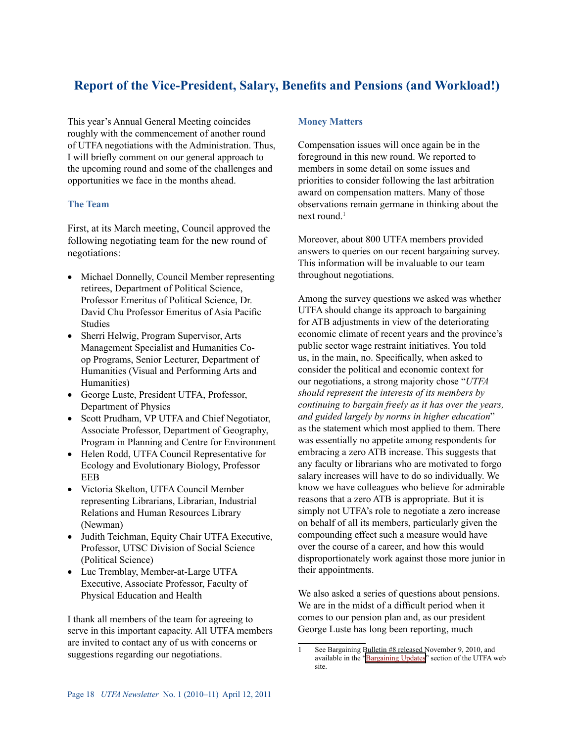# **Report of the Vice-President, Salary, Benefits and Pensions (and Workload!)**

This year's Annual General Meeting coincides roughly with the commencement of another round of UTFA negotiations with the Administration. Thus, I will briefly comment on our general approach to the upcoming round and some of the challenges and opportunities we face in the months ahead.

## **The Team**

First, at its March meeting, Council approved the following negotiating team for the new round of negotiations:

- Michael Donnelly, Council Member representing retirees, Department of Political Science, Professor Emeritus of Political Science, Dr. David Chu Professor Emeritus of Asia Pacific Studies
- Sherri Helwig, Program Supervisor, Arts Management Specialist and Humanities Coop Programs, Senior Lecturer, Department of Humanities (Visual and Performing Arts and Humanities)
- • George Luste, President UTFA, Professor, Department of Physics
- Scott Prudham, VP UTFA and Chief Negotiator, Associate Professor, Department of Geography, Program in Planning and Centre for Environment
- • Helen Rodd, UTFA Council Representative for Ecology and Evolutionary Biology, Professor EEB
- • Victoria Skelton, UTFA Council Member representing Librarians, Librarian, Industrial Relations and Human Resources Library (Newman)
- Judith Teichman, Equity Chair UTFA Executive, Professor, UTSC Division of Social Science (Political Science)
- Luc Tremblay, Member-at-Large UTFA Executive, Associate Professor, Faculty of Physical Education and Health

I thank all members of the team for agreeing to serve in this important capacity. All UTFA members are invited to contact any of us with concerns or suggestions regarding our negotiations.

## **Money Matters**

Compensation issues will once again be in the foreground in this new round. We reported to members in some detail on some issues and priorities to consider following the last arbitration award on compensation matters. Many of those observations remain germane in thinking about the next round $<sup>1</sup>$ </sup>

Moreover, about 800 UTFA members provided answers to queries on our recent bargaining survey. This information will be invaluable to our team throughout negotiations.

Among the survey questions we asked was whether UTFA should change its approach to bargaining for ATB adjustments in view of the deteriorating economic climate of recent years and the province's public sector wage restraint initiatives. You told us, in the main, no. Specifically, when asked to consider the political and economic context for our negotiations, a strong majority chose "*UTFA should represent the interests of its members by continuing to bargain freely as it has over the years, and guided largely by norms in higher education*" as the statement which most applied to them. There was essentially no appetite among respondents for embracing a zero ATB increase. This suggests that any faculty or librarians who are motivated to forgo salary increases will have to do so individually. We know we have colleagues who believe for admirable reasons that a zero ATB is appropriate. But it is simply not UTFA's role to negotiate a zero increase on behalf of all its members, particularly given the compounding effect such a measure would have over the course of a career, and how this would disproportionately work against those more junior in their appointments.

We also asked a series of questions about pensions. We are in the midst of a difficult period when it comes to our pension plan and, as our president George Luste has long been reporting, much

See Bargaining Bulletin #8 released November 9, 2010, and available in the ["Bargaining Updates](http://www.utfa.org/content/bargaining-updates)" section of the UTFA web site.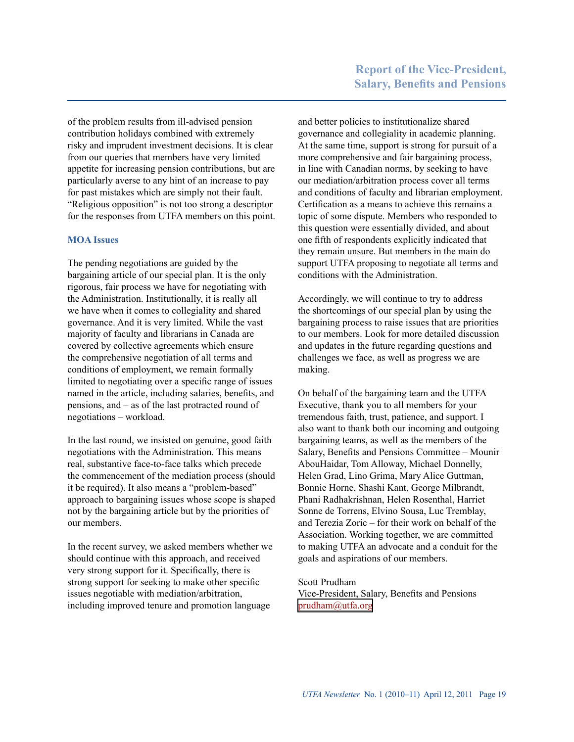of the problem results from ill-advised pension contribution holidays combined with extremely risky and imprudent investment decisions. It is clear from our queries that members have very limited appetite for increasing pension contributions, but are particularly averse to any hint of an increase to pay for past mistakes which are simply not their fault. "Religious opposition" is not too strong a descriptor for the responses from UTFA members on this point.

## **MOA Issues**

The pending negotiations are guided by the bargaining article of our special plan. It is the only rigorous, fair process we have for negotiating with the Administration. Institutionally, it is really all we have when it comes to collegiality and shared governance. And it is very limited. While the vast majority of faculty and librarians in Canada are covered by collective agreements which ensure the comprehensive negotiation of all terms and conditions of employment, we remain formally limited to negotiating over a specific range of issues named in the article, including salaries, benefits, and pensions, and – as of the last protracted round of negotiations – workload.

In the last round, we insisted on genuine, good faith negotiations with the Administration. This means real, substantive face-to-face talks which precede the commencement of the mediation process (should it be required). It also means a "problem-based" approach to bargaining issues whose scope is shaped not by the bargaining article but by the priorities of our members.

In the recent survey, we asked members whether we should continue with this approach, and received very strong support for it. Specifically, there is strong support for seeking to make other specific issues negotiable with mediation/arbitration, including improved tenure and promotion language

and better policies to institutionalize shared governance and collegiality in academic planning. At the same time, support is strong for pursuit of a more comprehensive and fair bargaining process, in line with Canadian norms, by seeking to have our mediation/arbitration process cover all terms and conditions of faculty and librarian employment. Certification as a means to achieve this remains a topic of some dispute. Members who responded to this question were essentially divided, and about one fifth of respondents explicitly indicated that they remain unsure. But members in the main do support UTFA proposing to negotiate all terms and conditions with the Administration.

Accordingly, we will continue to try to address the shortcomings of our special plan by using the bargaining process to raise issues that are priorities to our members. Look for more detailed discussion and updates in the future regarding questions and challenges we face, as well as progress we are making.

On behalf of the bargaining team and the UTFA Executive, thank you to all members for your tremendous faith, trust, patience, and support. I also want to thank both our incoming and outgoing bargaining teams, as well as the members of the Salary, Benefits and Pensions Committee – Mounir AbouHaidar, Tom Alloway, Michael Donnelly, Helen Grad, Lino Grima, Mary Alice Guttman, Bonnie Horne, Shashi Kant, George Milbrandt, Phani Radhakrishnan, Helen Rosenthal, Harriet Sonne de Torrens, Elvino Sousa, Luc Tremblay, and Terezia Zoric – for their work on behalf of the Association. Working together, we are committed to making UTFA an advocate and a conduit for the goals and aspirations of our members.

#### Scott Prudham

Vice-President, Salary, Benefits and Pensions [prudham@utfa.org](mailto:prudham@utfa.org)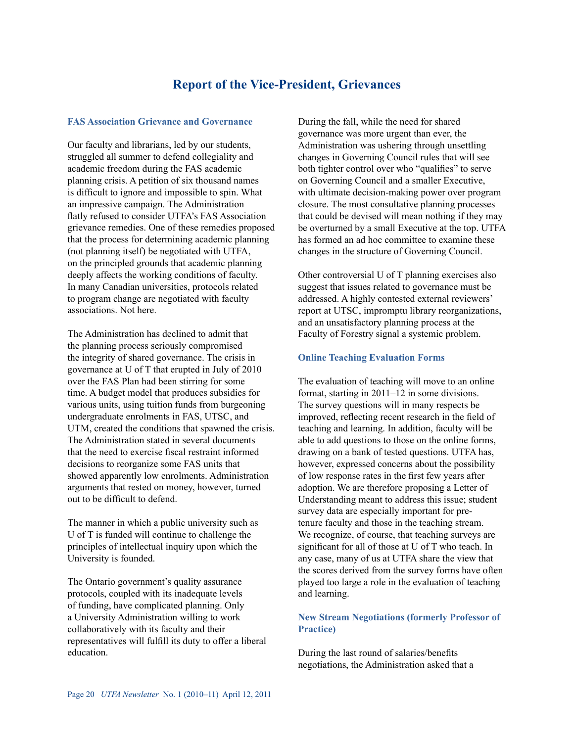## **Report of the Vice-President, Grievances**

#### **FAS Association Grievance and Governance**

Our faculty and librarians, led by our students, struggled all summer to defend collegiality and academic freedom during the FAS academic planning crisis. A petition of six thousand names is difficult to ignore and impossible to spin. What an impressive campaign. The Administration flatly refused to consider UTFA's FAS Association grievance remedies. One of these remedies proposed that the process for determining academic planning (not planning itself) be negotiated with UTFA, on the principled grounds that academic planning deeply affects the working conditions of faculty. In many Canadian universities, protocols related to program change are negotiated with faculty associations. Not here.

The Administration has declined to admit that the planning process seriously compromised the integrity of shared governance. The crisis in governance at U of T that erupted in July of 2010 over the FAS Plan had been stirring for some time. A budget model that produces subsidies for various units, using tuition funds from burgeoning undergraduate enrolments in FAS, UTSC, and UTM, created the conditions that spawned the crisis. The Administration stated in several documents that the need to exercise fiscal restraint informed decisions to reorganize some FAS units that showed apparently low enrolments. Administration arguments that rested on money, however, turned out to be difficult to defend.

The manner in which a public university such as U of T is funded will continue to challenge the principles of intellectual inquiry upon which the University is founded.

The Ontario government's quality assurance protocols, coupled with its inadequate levels of funding, have complicated planning. Only a University Administration willing to work collaboratively with its faculty and their representatives will fulfill its duty to offer a liberal education.

During the fall, while the need for shared governance was more urgent than ever, the Administration was ushering through unsettling changes in Governing Council rules that will see both tighter control over who "qualifies" to serve on Governing Council and a smaller Executive, with ultimate decision-making power over program closure. The most consultative planning processes that could be devised will mean nothing if they may be overturned by a small Executive at the top. UTFA has formed an ad hoc committee to examine these changes in the structure of Governing Council.

Other controversial U of T planning exercises also suggest that issues related to governance must be addressed. A highly contested external reviewers' report at UTSC, impromptu library reorganizations, and an unsatisfactory planning process at the Faculty of Forestry signal a systemic problem.

#### **Online Teaching Evaluation Forms**

The evaluation of teaching will move to an online format, starting in 2011–12 in some divisions. The survey questions will in many respects be improved, reflecting recent research in the field of teaching and learning. In addition, faculty will be able to add questions to those on the online forms, drawing on a bank of tested questions. UTFA has, however, expressed concerns about the possibility of low response rates in the first few years after adoption. We are therefore proposing a Letter of Understanding meant to address this issue; student survey data are especially important for pretenure faculty and those in the teaching stream. We recognize, of course, that teaching surveys are significant for all of those at U of T who teach. In any case, many of us at UTFA share the view that the scores derived from the survey forms have often played too large a role in the evaluation of teaching and learning.

## **New Stream Negotiations (formerly Professor of Practice)**

During the last round of salaries/benefits negotiations, the Administration asked that a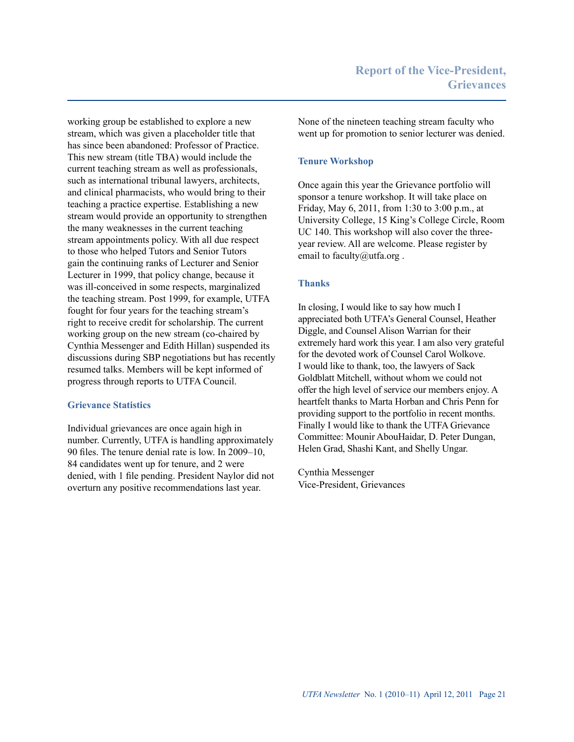working group be established to explore a new stream, which was given a placeholder title that has since been abandoned: Professor of Practice. This new stream (title TBA) would include the current teaching stream as well as professionals, such as international tribunal lawyers, architects, and clinical pharmacists, who would bring to their teaching a practice expertise. Establishing a new stream would provide an opportunity to strengthen the many weaknesses in the current teaching stream appointments policy. With all due respect to those who helped Tutors and Senior Tutors gain the continuing ranks of Lecturer and Senior Lecturer in 1999, that policy change, because it was ill-conceived in some respects, marginalized the teaching stream. Post 1999, for example, UTFA fought for four years for the teaching stream's right to receive credit for scholarship. The current working group on the new stream (co-chaired by Cynthia Messenger and Edith Hillan) suspended its discussions during SBP negotiations but has recently resumed talks. Members will be kept informed of progress through reports to UTFA Council.

## **Grievance Statistics**

Individual grievances are once again high in number. Currently, UTFA is handling approximately 90 files. The tenure denial rate is low. In 2009–10, 84 candidates went up for tenure, and 2 were denied, with 1 file pending. President Naylor did not overturn any positive recommendations last year.

None of the nineteen teaching stream faculty who went up for promotion to senior lecturer was denied.

## **Tenure Workshop**

Once again this year the Grievance portfolio will sponsor a tenure workshop. It will take place on Friday, May 6, 2011, from 1:30 to 3:00 p.m., at University College, 15 King's College Circle, Room UC 140. This workshop will also cover the threeyear review. All are welcome. Please register by email to faculty@utfa.org.

#### **Thanks**

In closing, I would like to say how much I appreciated both UTFA's General Counsel, Heather Diggle, and Counsel Alison Warrian for their extremely hard work this year. I am also very grateful for the devoted work of Counsel Carol Wolkove. I would like to thank, too, the lawyers of Sack Goldblatt Mitchell, without whom we could not offer the high level of service our members enjoy. A heartfelt thanks to Marta Horban and Chris Penn for providing support to the portfolio in recent months. Finally I would like to thank the UTFA Grievance Committee: Mounir AbouHaidar, D. Peter Dungan, Helen Grad, Shashi Kant, and Shelly Ungar.

Cynthia Messenger Vice-President, Grievances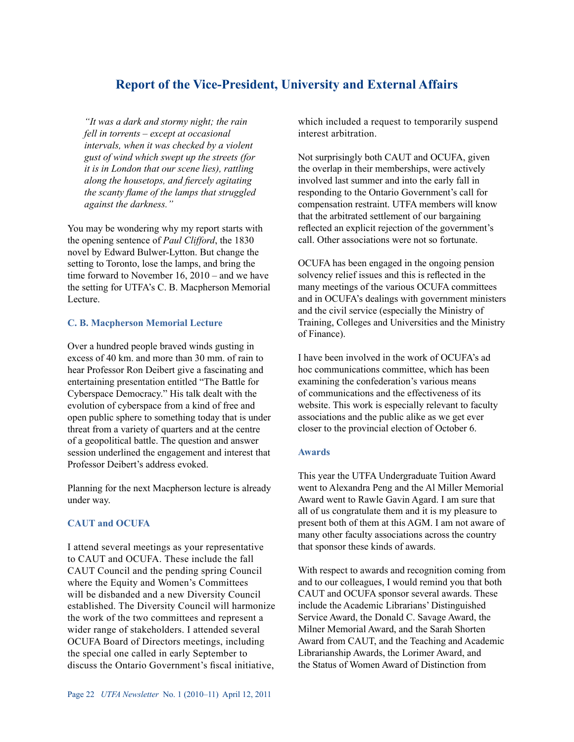# **Report of the Vice-President, University and External Affairs**

*"It was a dark and stormy night; the rain fell in torrents – except at occasional intervals, when it was checked by a violent gust of wind which swept up the streets (for it is in London that our scene lies), rattling along the housetops, and fiercely agitating the scanty flame of the lamps that struggled against the darkness."*

You may be wondering why my report starts with the opening sentence of *Paul Clifford*, the 1830 novel by Edward Bulwer-Lytton. But change the setting to Toronto, lose the lamps, and bring the time forward to November 16, 2010 – and we have the setting for UTFA's C. B. Macpherson Memorial Lecture.

#### **C. B. Macpherson Memorial Lecture**

Over a hundred people braved winds gusting in excess of 40 km. and more than 30 mm. of rain to hear Professor Ron Deibert give a fascinating and entertaining presentation entitled "The Battle for Cyberspace Democracy." His talk dealt with the evolution of cyberspace from a kind of free and open public sphere to something today that is under threat from a variety of quarters and at the centre of a geopolitical battle. The question and answer session underlined the engagement and interest that Professor Deibert's address evoked.

Planning for the next Macpherson lecture is already under way.

## **CAUT and OCUFA**

I attend several meetings as your representative to CAUT and OCUFA. These include the fall CAUT Council and the pending spring Council where the Equity and Women's Committees will be disbanded and a new Diversity Council established. The Diversity Council will harmonize the work of the two committees and represent a wider range of stakeholders. I attended several OCUFA Board of Directors meetings, including the special one called in early September to discuss the Ontario Government's fiscal initiative,

Not surprisingly both CAUT and OCUFA, given the overlap in their memberships, were actively involved last summer and into the early fall in responding to the Ontario Government's call for compensation restraint. UTFA members will know that the arbitrated settlement of our bargaining reflected an explicit rejection of the government's call. Other associations were not so fortunate.

OCUFA has been engaged in the ongoing pension solvency relief issues and this is reflected in the many meetings of the various OCUFA committees and in OCUFA's dealings with government ministers and the civil service (especially the Ministry of Training, Colleges and Universities and the Ministry of Finance).

I have been involved in the work of OCUFA's ad hoc communications committee, which has been examining the confederation's various means of communications and the effectiveness of its website. This work is especially relevant to faculty associations and the public alike as we get ever closer to the provincial election of October 6.

## **Awards**

This year the UTFA Undergraduate Tuition Award went to Alexandra Peng and the Al Miller Memorial Award went to Rawle Gavin Agard. I am sure that all of us congratulate them and it is my pleasure to present both of them at this AGM. I am not aware of many other faculty associations across the country that sponsor these kinds of awards.

With respect to awards and recognition coming from and to our colleagues, I would remind you that both CAUT and OCUFA sponsor several awards. These include the Academic Librarians' Distinguished Service Award, the Donald C. Savage Award, the Milner Memorial Award, and the Sarah Shorten Award from CAUT, and the Teaching and Academic Librarianship Awards, the Lorimer Award, and the Status of Women Award of Distinction from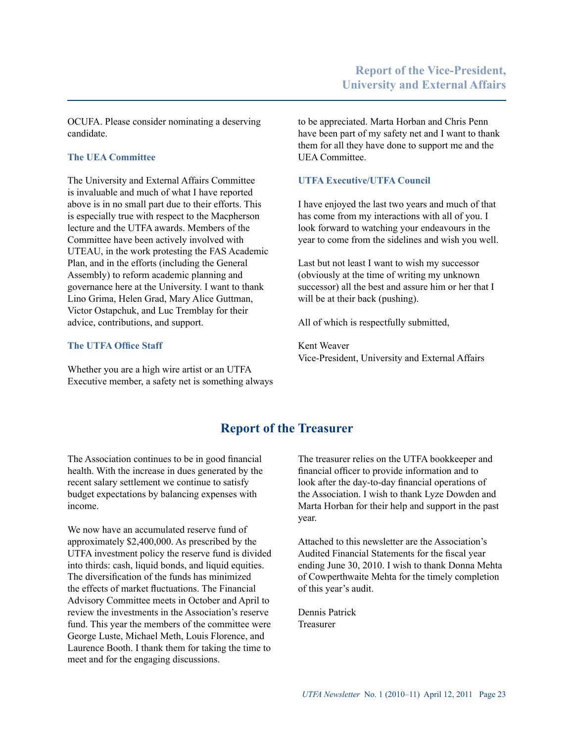OCUFA. Please consider nominating a deserving candidate.

## **The UEA Committee**

The University and External Affairs Committee is invaluable and much of what I have reported above is in no small part due to their efforts. This is especially true with respect to the Macpherson lecture and the UTFA awards. Members of the Committee have been actively involved with UTEAU, in the work protesting the FAS Academic Plan, and in the efforts (including the General Assembly) to reform academic planning and governance here at the University. I want to thank Lino Grima, Helen Grad, Mary Alice Guttman, Victor Ostapchuk, and Luc Tremblay for their advice, contributions, and support.

#### **The UTFA Office Staff**

Whether you are a high wire artist or an UTFA Executive member, a safety net is something always to be appreciated. Marta Horban and Chris Penn have been part of my safety net and I want to thank them for all they have done to support me and the UEA Committee.

## **UTFA Executive/UTFA Council**

I have enjoyed the last two years and much of that has come from my interactions with all of you. I look forward to watching your endeavours in the year to come from the sidelines and wish you well.

Last but not least I want to wish my successor (obviously at the time of writing my unknown successor) all the best and assure him or her that I will be at their back (pushing).

All of which is respectfully submitted,

Kent Weaver Vice-President, University and External Affairs

# **Report of the Treasurer**

The Association continues to be in good financial health. With the increase in dues generated by the recent salary settlement we continue to satisfy budget expectations by balancing expenses with income.

We now have an accumulated reserve fund of approximately \$2,400,000. As prescribed by the UTFA investment policy the reserve fund is divided into thirds: cash, liquid bonds, and liquid equities. The diversification of the funds has minimized the effects of market fluctuations. The Financial Advisory Committee meets in October and April to review the investments in the Association's reserve fund. This year the members of the committee were George Luste, Michael Meth, Louis Florence, and Laurence Booth. I thank them for taking the time to meet and for the engaging discussions.

The treasurer relies on the UTFA bookkeeper and financial officer to provide information and to look after the day-to-day financial operations of the Association. I wish to thank Lyze Dowden and Marta Horban for their help and support in the past year.

Attached to this newsletter are the Association's Audited Financial Statements for the fiscal year ending June 30, 2010. I wish to thank Donna Mehta of Cowperthwaite Mehta for the timely completion of this year's audit.

Dennis Patrick Treasurer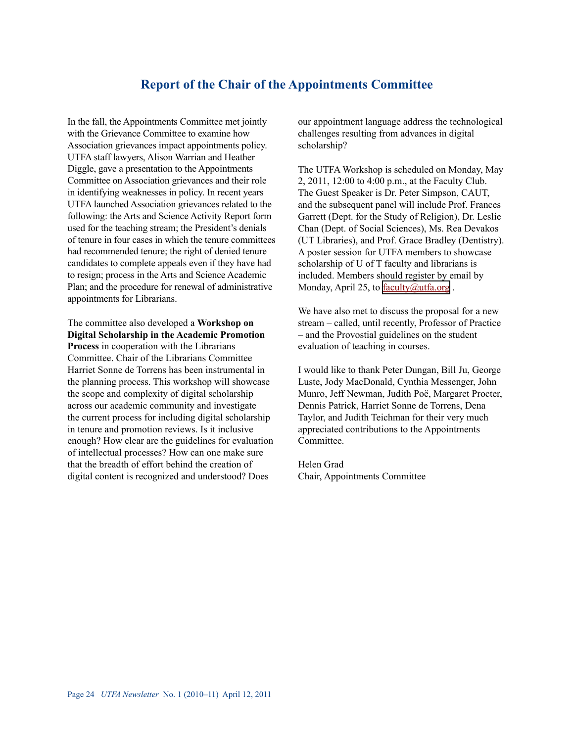## **Report of the Chair of the Appointments Committee**

In the fall, the Appointments Committee met jointly with the Grievance Committee to examine how Association grievances impact appointments policy. UTFA staff lawyers, Alison Warrian and Heather Diggle, gave a presentation to the Appointments Committee on Association grievances and their role in identifying weaknesses in policy. In recent years UTFA launched Association grievances related to the following: the Arts and Science Activity Report form used for the teaching stream; the President's denials of tenure in four cases in which the tenure committees had recommended tenure; the right of denied tenure candidates to complete appeals even if they have had to resign; process in the Arts and Science Academic Plan; and the procedure for renewal of administrative appointments for Librarians.

The committee also developed a **Workshop on Digital Scholarship in the Academic Promotion Process** in cooperation with the Librarians Committee. Chair of the Librarians Committee Harriet Sonne de Torrens has been instrumental in the planning process. This workshop will showcase the scope and complexity of digital scholarship across our academic community and investigate the current process for including digital scholarship in tenure and promotion reviews. Is it inclusive enough? How clear are the guidelines for evaluation of intellectual processes? How can one make sure that the breadth of effort behind the creation of digital content is recognized and understood? Does

our appointment language address the technological challenges resulting from advances in digital scholarship?

The UTFA Workshop is scheduled on Monday, May 2, 2011, 12:00 to 4:00 p.m., at the Faculty Club. The Guest Speaker is Dr. Peter Simpson, CAUT, and the subsequent panel will include Prof. Frances Garrett (Dept. for the Study of Religion), Dr. Leslie Chan (Dept. of Social Sciences), Ms. Rea Devakos (UT Libraries), and Prof. Grace Bradley (Dentistry). A poster session for UTFA members to showcase scholarship of U of T faculty and librarians is included. Members should register by email by Monday, April 25, to **faculty**@utfa.org.

We have also met to discuss the proposal for a new stream – called, until recently, Professor of Practice – and the Provostial guidelines on the student evaluation of teaching in courses.

I would like to thank Peter Dungan, Bill Ju, George Luste, Jody MacDonald, Cynthia Messenger, John Munro, Jeff Newman, Judith Poë, Margaret Procter, Dennis Patrick, Harriet Sonne de Torrens, Dena Taylor, and Judith Teichman for their very much appreciated contributions to the Appointments **Committee** 

Helen Grad Chair, Appointments Committee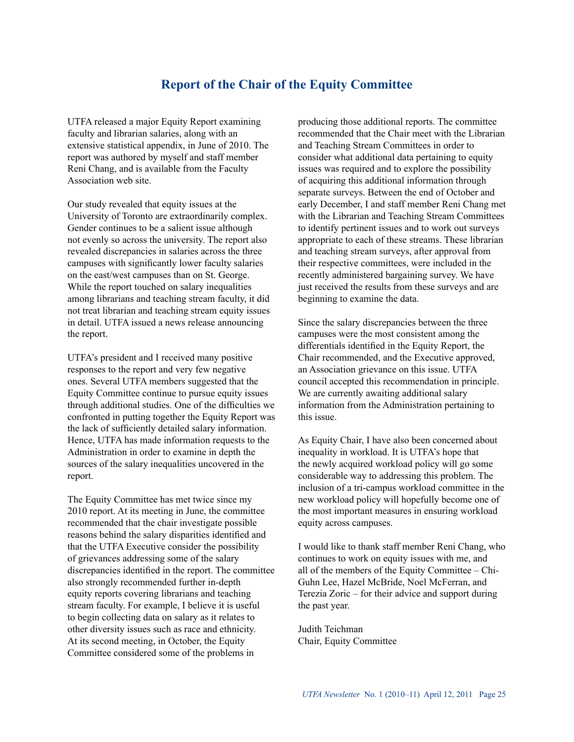# **Report of the Chair of the Equity Committee**

UTFA released a major Equity Report examining faculty and librarian salaries, along with an extensive statistical appendix, in June of 2010. The report was authored by myself and staff member Reni Chang, and is available from the Faculty Association web site.

Our study revealed that equity issues at the University of Toronto are extraordinarily complex. Gender continues to be a salient issue although not evenly so across the university. The report also revealed discrepancies in salaries across the three campuses with significantly lower faculty salaries on the east/west campuses than on St. George. While the report touched on salary inequalities among librarians and teaching stream faculty, it did not treat librarian and teaching stream equity issues in detail. UTFA issued a news release announcing the report.

UTFA's president and I received many positive responses to the report and very few negative ones. Several UTFA members suggested that the Equity Committee continue to pursue equity issues through additional studies. One of the difficulties we confronted in putting together the Equity Report was the lack of sufficiently detailed salary information. Hence, UTFA has made information requests to the Administration in order to examine in depth the sources of the salary inequalities uncovered in the report.

The Equity Committee has met twice since my 2010 report. At its meeting in June, the committee recommended that the chair investigate possible reasons behind the salary disparities identified and that the UTFA Executive consider the possibility of grievances addressing some of the salary discrepancies identified in the report. The committee also strongly recommended further in-depth equity reports covering librarians and teaching stream faculty. For example, I believe it is useful to begin collecting data on salary as it relates to other diversity issues such as race and ethnicity. At its second meeting, in October, the Equity Committee considered some of the problems in

producing those additional reports. The committee recommended that the Chair meet with the Librarian and Teaching Stream Committees in order to consider what additional data pertaining to equity issues was required and to explore the possibility of acquiring this additional information through separate surveys. Between the end of October and early December, I and staff member Reni Chang met with the Librarian and Teaching Stream Committees to identify pertinent issues and to work out surveys appropriate to each of these streams. These librarian and teaching stream surveys, after approval from their respective committees, were included in the recently administered bargaining survey. We have just received the results from these surveys and are beginning to examine the data.

Since the salary discrepancies between the three campuses were the most consistent among the differentials identified in the Equity Report, the Chair recommended, and the Executive approved, an Association grievance on this issue. UTFA council accepted this recommendation in principle. We are currently awaiting additional salary information from the Administration pertaining to this issue.

As Equity Chair, I have also been concerned about inequality in workload. It is UTFA's hope that the newly acquired workload policy will go some considerable way to addressing this problem. The inclusion of a tri-campus workload committee in the new workload policy will hopefully become one of the most important measures in ensuring workload equity across campuses.

I would like to thank staff member Reni Chang, who continues to work on equity issues with me, and all of the members of the Equity Committee – Chi-Guhn Lee, Hazel McBride, Noel McFerran, and Terezia Zoric – for their advice and support during the past year.

Judith Teichman Chair, Equity Committee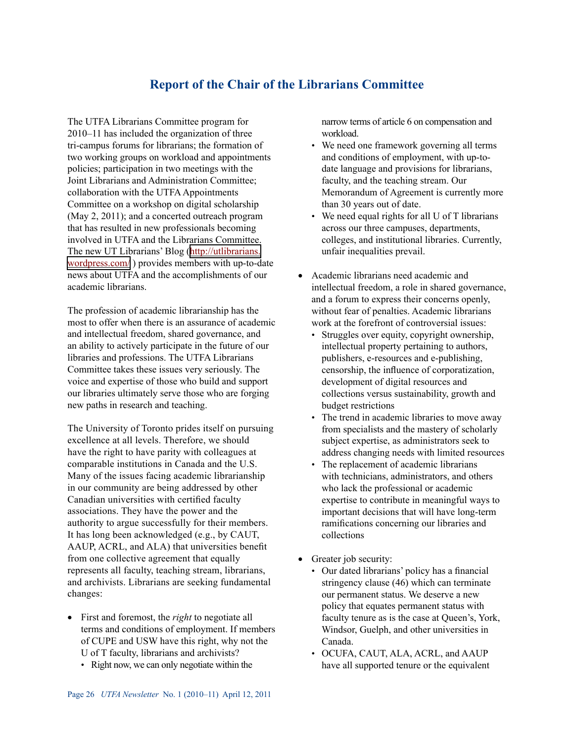# **Report of the Chair of the Librarians Committee**

The UTFA Librarians Committee program for 2010–11 has included the organization of three tri-campus forums for librarians; the formation of two working groups on workload and appointments policies; participation in two meetings with the Joint Librarians and Administration Committee; collaboration with the UTFA Appointments Committee on a workshop on digital scholarship (May 2, 2011); and a concerted outreach program that has resulted in new professionals becoming involved in UTFA and the Librarians Committee. The new UT Librarians' Blog ([http://utlibrarians.](http://utlibrarians.wordpress.com/) [wordpress.com/](http://utlibrarians.wordpress.com/) ) provides members with up-to-date news about UTFA and the accomplishments of our academic librarians.

The profession of academic librarianship has the most to offer when there is an assurance of academic and intellectual freedom, shared governance, and an ability to actively participate in the future of our libraries and professions. The UTFA Librarians Committee takes these issues very seriously. The voice and expertise of those who build and support our libraries ultimately serve those who are forging new paths in research and teaching.

The University of Toronto prides itself on pursuing excellence at all levels. Therefore, we should have the right to have parity with colleagues at comparable institutions in Canada and the U.S. Many of the issues facing academic librarianship in our community are being addressed by other Canadian universities with certified faculty associations. They have the power and the authority to argue successfully for their members. It has long been acknowledged (e.g., by CAUT, AAUP, ACRL, and ALA) that universities benefit from one collective agreement that equally represents all faculty, teaching stream, librarians, and archivists. Librarians are seeking fundamental changes:

- • First and foremost, the *right* to negotiate all terms and conditions of employment. If members of CUPE and USW have this right, why not the U of T faculty, librarians and archivists?
	- Right now, we can only negotiate within the

narrow terms of article 6 on compensation and workload.

- We need one framework governing all terms and conditions of employment, with up-todate language and provisions for librarians, faculty, and the teaching stream. Our Memorandum of Agreement is currently more than 30 years out of date.
- We need equal rights for all U of T librarians across our three campuses, departments, colleges, and institutional libraries. Currently, unfair inequalities prevail.
- Academic librarians need academic and intellectual freedom, a role in shared governance, and a forum to express their concerns openly, without fear of penalties. Academic librarians work at the forefront of controversial issues:
	- Struggles over equity, copyright ownership, intellectual property pertaining to authors, publishers, e-resources and e-publishing, censorship, the influence of corporatization, development of digital resources and collections versus sustainability, growth and budget restrictions •
	- The trend in academic libraries to move away from specialists and the mastery of scholarly subject expertise, as administrators seek to address changing needs with limited resources •
	- The replacement of academic librarians with technicians, administrators, and others who lack the professional or academic expertise to contribute in meaningful ways to important decisions that will have long-term ramifications concerning our libraries and collections •
- Greater job security:
	- Our dated librarians' policy has a financial stringency clause (46) which can terminate our permanent status. We deserve a new policy that equates permanent status with faculty tenure as is the case at Queen's, York, Windsor, Guelph, and other universities in Canada.
	- OCUFA, CAUT, ALA, ACRL, and AAUP have all supported tenure or the equivalent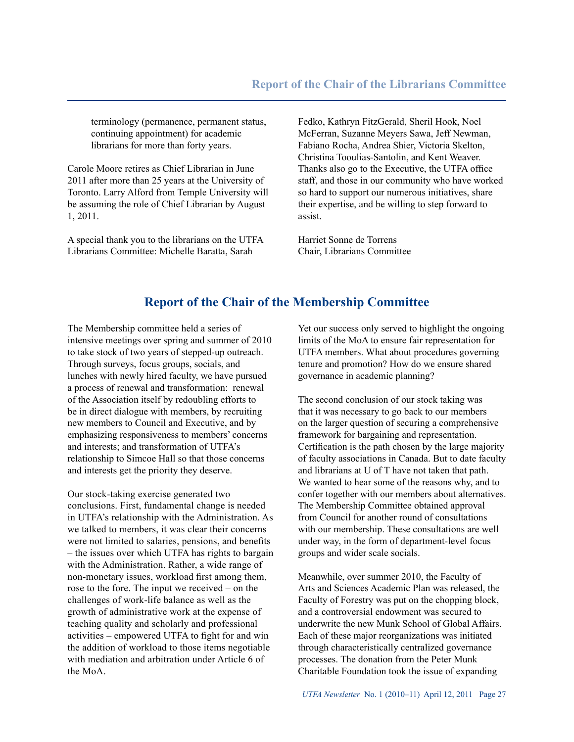terminology (permanence, permanent status, continuing appointment) for academic librarians for more than forty years.

Carole Moore retires as Chief Librarian in June 2011 after more than 25 years at the University of Toronto. Larry Alford from Temple University will be assuming the role of Chief Librarian by August 1, 2011.

A special thank you to the librarians on the UTFA Librarians Committee: Michelle Baratta, Sarah

Fedko, Kathryn FitzGerald, Sheril Hook, Noel McFerran, Suzanne Meyers Sawa, Jeff Newman, Fabiano Rocha, Andrea Shier, Victoria Skelton, Christina Tooulias-Santolin, and Kent Weaver. Thanks also go to the Executive, the UTFA office staff, and those in our community who have worked so hard to support our numerous initiatives, share their expertise, and be willing to step forward to assist.

Harriet Sonne de Torrens Chair, Librarians Committee

# **Report of the Chair of the Membership Committee**

The Membership committee held a series of intensive meetings over spring and summer of 2010 to take stock of two years of stepped-up outreach. Through surveys, focus groups, socials, and lunches with newly hired faculty, we have pursued a process of renewal and transformation: renewal of the Association itself by redoubling efforts to be in direct dialogue with members, by recruiting new members to Council and Executive, and by emphasizing responsiveness to members' concerns and interests; and transformation of UTFA's relationship to Simcoe Hall so that those concerns and interests get the priority they deserve.

Our stock-taking exercise generated two conclusions. First, fundamental change is needed in UTFA's relationship with the Administration. As we talked to members, it was clear their concerns were not limited to salaries, pensions, and benefits – the issues over which UTFA has rights to bargain with the Administration. Rather, a wide range of non-monetary issues, workload first among them, rose to the fore. The input we received – on the challenges of work-life balance as well as the growth of administrative work at the expense of teaching quality and scholarly and professional activities – empowered UTFA to fight for and win the addition of workload to those items negotiable with mediation and arbitration under Article 6 of the MoA.

Yet our success only served to highlight the ongoing limits of the MoA to ensure fair representation for UTFA members. What about procedures governing tenure and promotion? How do we ensure shared governance in academic planning?

The second conclusion of our stock taking was that it was necessary to go back to our members on the larger question of securing a comprehensive framework for bargaining and representation. Certification is the path chosen by the large majority of faculty associations in Canada. But to date faculty and librarians at U of T have not taken that path. We wanted to hear some of the reasons why, and to confer together with our members about alternatives. The Membership Committee obtained approval from Council for another round of consultations with our membership. These consultations are well under way, in the form of department-level focus groups and wider scale socials.

Meanwhile, over summer 2010, the Faculty of Arts and Sciences Academic Plan was released, the Faculty of Forestry was put on the chopping block, and a controversial endowment was secured to underwrite the new Munk School of Global Affairs. Each of these major reorganizations was initiated through characteristically centralized governance processes. The donation from the Peter Munk Charitable Foundation took the issue of expanding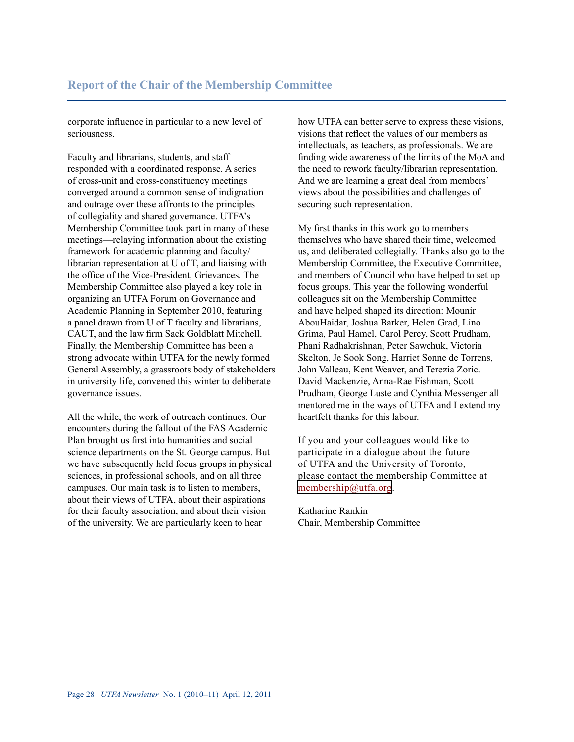corporate influence in particular to a new level of seriousness.

Faculty and librarians, students, and staff responded with a coordinated response. A series of cross-unit and cross-constituency meetings converged around a common sense of indignation and outrage over these affronts to the principles of collegiality and shared governance. UTFA's Membership Committee took part in many of these meetings—relaying information about the existing framework for academic planning and faculty/ librarian representation at U of T, and liaising with the office of the Vice-President, Grievances. The Membership Committee also played a key role in organizing an UTFA Forum on Governance and Academic Planning in September 2010, featuring a panel drawn from U of T faculty and librarians, CAUT, and the law firm Sack Goldblatt Mitchell. Finally, the Membership Committee has been a strong advocate within UTFA for the newly formed General Assembly, a grassroots body of stakeholders in university life, convened this winter to deliberate governance issues.

All the while, the work of outreach continues. Our encounters during the fallout of the FAS Academic Plan brought us first into humanities and social science departments on the St. George campus. But we have subsequently held focus groups in physical sciences, in professional schools, and on all three campuses. Our main task is to listen to members, about their views of UTFA, about their aspirations for their faculty association, and about their vision of the university. We are particularly keen to hear

how UTFA can better serve to express these visions, visions that reflect the values of our members as intellectuals, as teachers, as professionals. We are finding wide awareness of the limits of the MoA and the need to rework faculty/librarian representation. And we are learning a great deal from members' views about the possibilities and challenges of securing such representation.

My first thanks in this work go to members themselves who have shared their time, welcomed us, and deliberated collegially. Thanks also go to the Membership Committee, the Executive Committee, and members of Council who have helped to set up focus groups. This year the following wonderful colleagues sit on the Membership Committee and have helped shaped its direction: Mounir AbouHaidar, Joshua Barker, Helen Grad, Lino Grima, Paul Hamel, Carol Percy, Scott Prudham, Phani Radhakrishnan, Peter Sawchuk, Victoria Skelton, Je Sook Song, Harriet Sonne de Torrens, John Valleau, Kent Weaver, and Terezia Zoric. David Mackenzie, Anna-Rae Fishman, Scott Prudham, George Luste and Cynthia Messenger all mentored me in the ways of UTFA and I extend my heartfelt thanks for this labour.

If you and your colleagues would like to participate in a dialogue about the future of UTFA and the University of Toronto, please contact the membership Committee at [membership@utfa.org](mailto:membership@utfa.org).

Katharine Rankin Chair, Membership Committee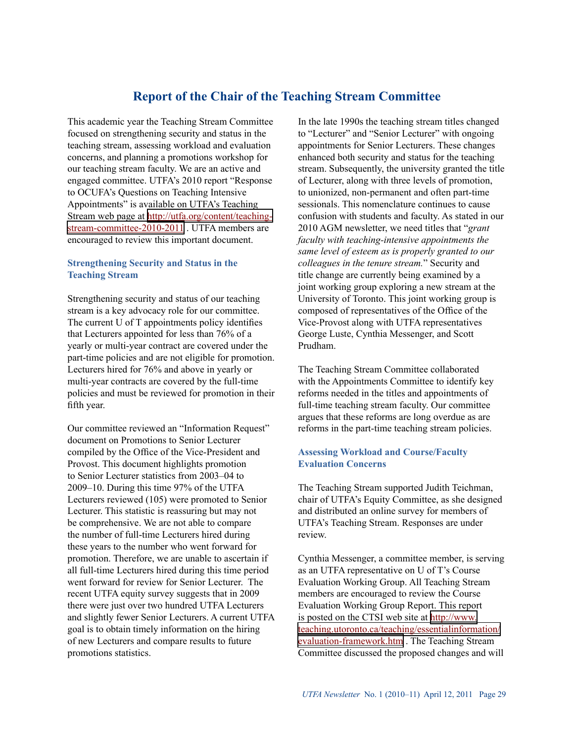# **Report of the Chair of the Teaching Stream Committee**

This academic year the Teaching Stream Committee focused on strengthening security and status in the teaching stream, assessing workload and evaluation concerns, and planning a promotions workshop for our teaching stream faculty. We are an active and engaged committee. UTFA's 2010 report "Response to OCUFA's Questions on Teaching Intensive Appointments" is available on UTFA's Teaching Stream web page at [http://utfa.org/content/teaching](http://utfa.org/content/teaching-stream-committee-2010-2011)[stream-committee-2010-2011](http://utfa.org/content/teaching-stream-committee-2010-2011) . UTFA members are encouraged to review this important document.

#### **Strengthening Security and Status in the Teaching Stream**

Strengthening security and status of our teaching stream is a key advocacy role for our committee. The current U of T appointments policy identifies that Lecturers appointed for less than 76% of a yearly or multi-year contract are covered under the part-time policies and are not eligible for promotion. Lecturers hired for 76% and above in yearly or multi-year contracts are covered by the full-time policies and must be reviewed for promotion in their fifth year.

Our committee reviewed an "Information Request" document on Promotions to Senior Lecturer compiled by the Office of the Vice-President and Provost. This document highlights promotion to Senior Lecturer statistics from 2003–04 to 2009–10. During this time 97% of the UTFA Lecturers reviewed (105) were promoted to Senior Lecturer. This statistic is reassuring but may not be comprehensive. We are not able to compare the number of full-time Lecturers hired during these years to the number who went forward for promotion. Therefore, we are unable to ascertain if all full-time Lecturers hired during this time period went forward for review for Senior Lecturer. The recent UTFA equity survey suggests that in 2009 there were just over two hundred UTFA Lecturers and slightly fewer Senior Lecturers. A current UTFA goal is to obtain timely information on the hiring of new Lecturers and compare results to future promotions statistics.

In the late 1990s the teaching stream titles changed to "Lecturer" and "Senior Lecturer" with ongoing appointments for Senior Lecturers. These changes enhanced both security and status for the teaching stream. Subsequently, the university granted the title of Lecturer, along with three levels of promotion, to unionized, non-permanent and often part-time sessionals. This nomenclature continues to cause confusion with students and faculty. As stated in our 2010 AGM newsletter, we need titles that "*grant faculty with teaching-intensive appointments the same level of esteem as is properly granted to our colleagues in the tenure stream.*" Security and title change are currently being examined by a joint working group exploring a new stream at the University of Toronto. This joint working group is composed of representatives of the Office of the Vice-Provost along with UTFA representatives George Luste, Cynthia Messenger, and Scott Prudham.

The Teaching Stream Committee collaborated with the Appointments Committee to identify key reforms needed in the titles and appointments of full-time teaching stream faculty. Our committee argues that these reforms are long overdue as are reforms in the part-time teaching stream policies.

## **Assessing Workload and Course/Faculty Evaluation Concerns**

The Teaching Stream supported Judith Teichman, chair of UTFA's Equity Committee, as she designed and distributed an online survey for members of UTFA's Teaching Stream. Responses are under review.

Cynthia Messenger, a committee member, is serving as an UTFA representative on U of T's Course Evaluation Working Group. All Teaching Stream members are encouraged to review the Course Evaluation Working Group Report. This report is posted on the CTSI web site at [http://www.](http://www.teaching.utoronto.ca/teaching/essentialinformation/evaluation-framework.htm) [teaching.utoronto.ca/teaching/essentialinformation/](http://www.teaching.utoronto.ca/teaching/essentialinformation/evaluation-framework.htm) [evaluation-framework.htm](http://www.teaching.utoronto.ca/teaching/essentialinformation/evaluation-framework.htm) . The Teaching Stream Committee discussed the proposed changes and will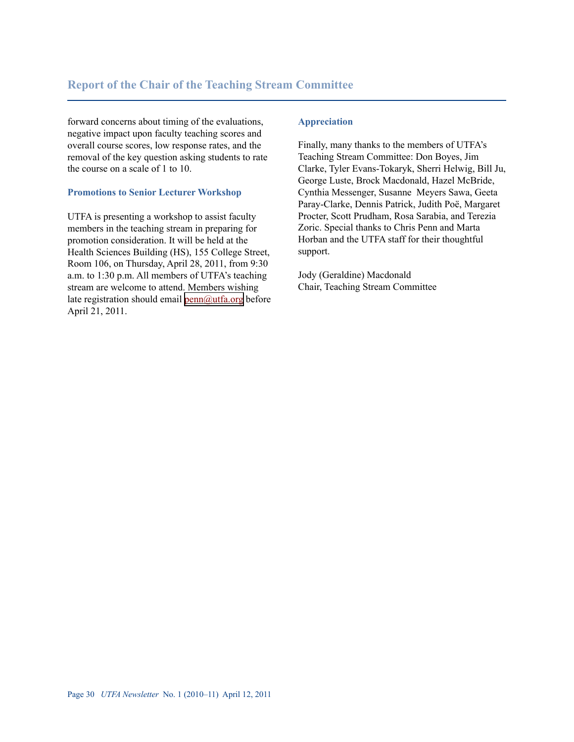forward concerns about timing of the evaluations, negative impact upon faculty teaching scores and overall course scores, low response rates, and the removal of the key question asking students to rate the course on a scale of 1 to 10.

## **Promotions to Senior Lecturer Workshop**

UTFA is presenting a workshop to assist faculty members in the teaching stream in preparing for promotion consideration. It will be held at the Health Sciences Building (HS), 155 College Street, Room 106, on Thursday, April 28, 2011, from 9:30 a.m. to 1:30 p.m. All members of UTFA's teaching stream are welcome to attend. Members wishing late registration should email  $\frac{\text{penn}(a) \text{atfa.org}}{\text{benn}(a)}$ April 21, 2011.

#### **Appreciation**

Finally, many thanks to the members of UTFA's Teaching Stream Committee: Don Boyes, Jim Clarke, Tyler Evans-Tokaryk, Sherri Helwig, Bill Ju, George Luste, Brock Macdonald, Hazel McBride, Cynthia Messenger, Susanne Meyers Sawa, Geeta Paray-Clarke, Dennis Patrick, Judith Poë, Margaret Procter, Scott Prudham, Rosa Sarabia, and Terezia Zoric. Special thanks to Chris Penn and Marta Horban and the UTFA staff for their thoughtful support.

Jody (Geraldine) Macdonald Chair, Teaching Stream Committee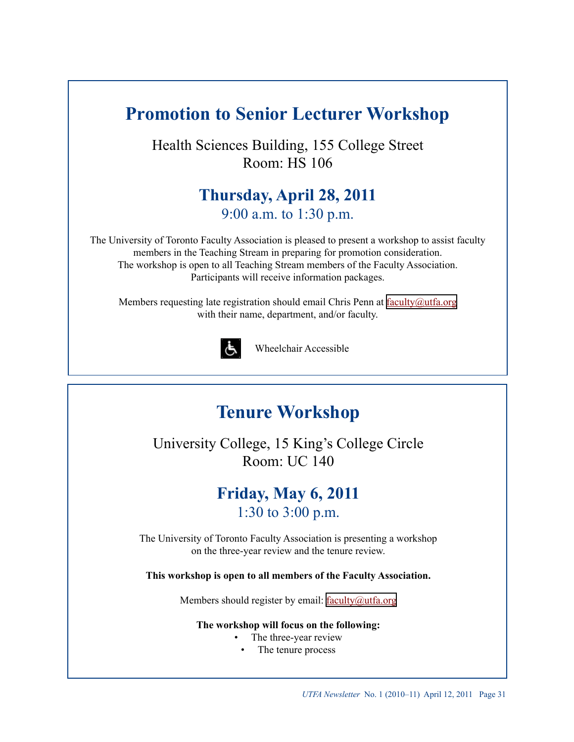# **Promotion to Senior Lecturer Workshop**

Health Sciences Building, 155 College Street Room: HS 106

# **Thursday, April 28, 2011** 9:00 a.m. to 1:30 p.m.

The University of Toronto Faculty Association is pleased to present a workshop to assist faculty members in the Teaching Stream in preparing for promotion consideration. The workshop is open to all Teaching Stream members of the Faculty Association. Participants will receive information packages.

Members requesting late registration should email Chris Penn at  $\frac{f_{\text{aculty}}}{\text{cutoffa.org}}$ with their name, department, and/or faculty.



Wheelchair Accessible

# **Tenure Workshop**

University College, 15 King's College Circle Room: UC 140

# **Friday, May 6, 2011** 1:30 to 3:00 p.m.

The University of Toronto Faculty Association is presenting a workshop on the three-year review and the tenure review.

**This workshop is open to all members of the Faculty Association.**

Members should register by email: [faculty@utfa.org](mailto:faculty@utfa.org)

## **The workshop will focus on the following:**

- The three-year review •
	- The tenure process •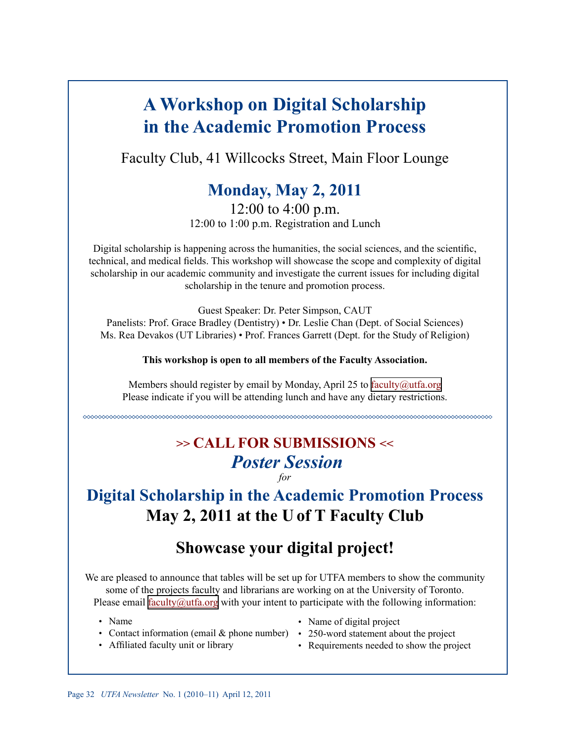# **A Workshop on Digital Scholarship in the Academic Promotion Process**

Faculty Club, 41 Willcocks Street, Main Floor Lounge

# **Monday, May 2, 2011**

12:00 to 4:00 p.m. 12:00 to 1:00 p.m. Registration and Lunch

Digital scholarship is happening across the humanities, the social sciences, and the scientific, technical, and medical fields. This workshop will showcase the scope and complexity of digital scholarship in our academic community and investigate the current issues for including digital scholarship in the tenure and promotion process.

Guest Speaker: Dr. Peter Simpson, CAUT Panelists: Prof. Grace Bradley (Dentistry) • Dr. Leslie Chan (Dept. of Social Sciences) Ms. Rea Devakos (UT Libraries) • Prof. Frances Garrett (Dept. for the Study of Religion)

**This workshop is open to all members of the Faculty Association.**

Members should register by email by Monday, April 25 to [faculty@utfa.org](mailto:faculty@utfa.org) Please indicate if you will be attending lunch and have any dietary restrictions.

# **>> CALL FOR SUBMISSIONS <<** *Poster Session for*

# **Digital Scholarship in the Academic Promotion Process May 2, 2011 at the U of T Faculty Club**

# **Showcase your digital project!**

We are pleased to announce that tables will be set up for UTFA members to show the community some of the projects faculty and librarians are working on at the University of Toronto. Please email <u>faculty@utfa.org</u> with your intent to participate with the following information:

- Name
- Contact information (email & phone number) 250-word statement about the project
- Affiliated faculty unit or library •
- Name of digital project
- - Requirements needed to show the project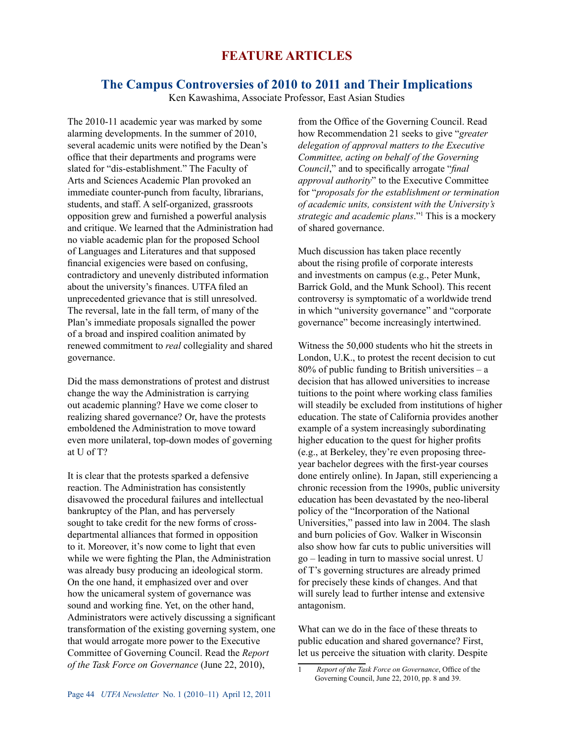## **Feature Articles**

## **The Campus Controversies of 2010 to 2011 and Their Implications**

Ken Kawashima, Associate Professor, East Asian Studies

The 2010-11 academic year was marked by some alarming developments. In the summer of 2010, several academic units were notified by the Dean's office that their departments and programs were slated for "dis-establishment." The Faculty of Arts and Sciences Academic Plan provoked an immediate counter-punch from faculty, librarians, students, and staff. A self-organized, grassroots opposition grew and furnished a powerful analysis and critique. We learned that the Administration had no viable academic plan for the proposed School of Languages and Literatures and that supposed financial exigencies were based on confusing, contradictory and unevenly distributed information about the university's finances. UTFA filed an unprecedented grievance that is still unresolved. The reversal, late in the fall term, of many of the Plan's immediate proposals signalled the power of a broad and inspired coalition animated by renewed commitment to *real* collegiality and shared governance.

Did the mass demonstrations of protest and distrust change the way the Administration is carrying out academic planning? Have we come closer to realizing shared governance? Or, have the protests emboldened the Administration to move toward even more unilateral, top-down modes of governing at U of T?

It is clear that the protests sparked a defensive reaction. The Administration has consistently disavowed the procedural failures and intellectual bankruptcy of the Plan, and has perversely sought to take credit for the new forms of crossdepartmental alliances that formed in opposition to it. Moreover, it's now come to light that even while we were fighting the Plan, the Administration was already busy producing an ideological storm. On the one hand, it emphasized over and over how the unicameral system of governance was sound and working fine. Yet, on the other hand, Administrators were actively discussing a significant transformation of the existing governing system, one that would arrogate more power to the Executive Committee of Governing Council. Read the *Report of the Task Force on Governance* (June 22, 2010),

from the Office of the Governing Council. Read how Recommendation 21 seeks to give "*greater delegation of approval matters to the Executive Committee, acting on behalf of the Governing Council*," and to specifically arrogate "*final approval authority*" to the Executive Committee for "*proposals for the establishment or termination of academic units, consistent with the University's strategic and academic plans*."1 This is a mockery of shared governance.

Much discussion has taken place recently about the rising profile of corporate interests and investments on campus (e.g., Peter Munk, Barrick Gold, and the Munk School). This recent controversy is symptomatic of a worldwide trend in which "university governance" and "corporate governance" become increasingly intertwined.

Witness the 50,000 students who hit the streets in London, U.K., to protest the recent decision to cut  $80\%$  of public funding to British universities – a decision that has allowed universities to increase tuitions to the point where working class families will steadily be excluded from institutions of higher education. The state of California provides another example of a system increasingly subordinating higher education to the quest for higher profits (e.g., at Berkeley, they're even proposing threeyear bachelor degrees with the first-year courses done entirely online). In Japan, still experiencing a chronic recession from the 1990s, public university education has been devastated by the neo-liberal policy of the "Incorporation of the National Universities," passed into law in 2004. The slash and burn policies of Gov. Walker in Wisconsin also show how far cuts to public universities will go – leading in turn to massive social unrest. U of T's governing structures are already primed for precisely these kinds of changes. And that will surely lead to further intense and extensive antagonism.

What can we do in the face of these threats to public education and shared governance? First, let us perceive the situation with clarity. Despite

<sup>1</sup> *Report of the Task Force on Governance*, Office of the Governing Council, June 22, 2010, pp. 8 and 39.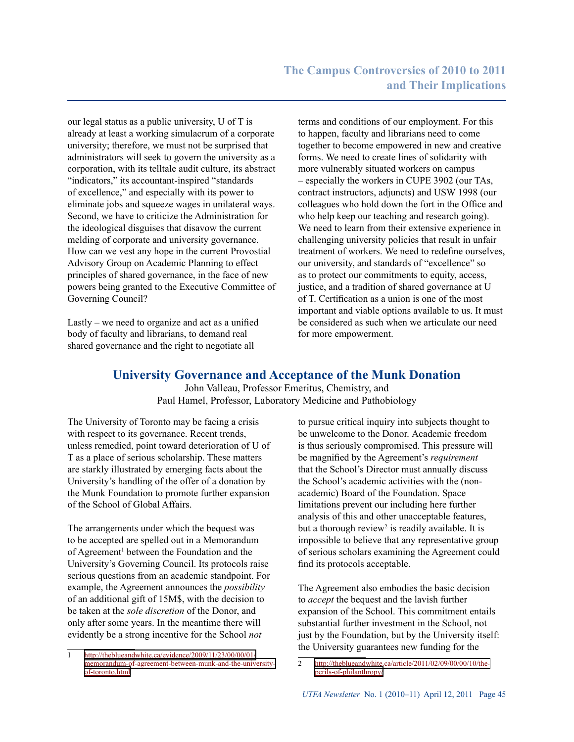our legal status as a public university, U of T is already at least a working simulacrum of a corporate university; therefore, we must not be surprised that administrators will seek to govern the university as a corporation, with its telltale audit culture, its abstract "indicators," its accountant-inspired "standards" of excellence," and especially with its power to eliminate jobs and squeeze wages in unilateral ways. Second, we have to criticize the Administration for the ideological disguises that disavow the current melding of corporate and university governance. How can we vest any hope in the current Provostial Advisory Group on Academic Planning to effect principles of shared governance, in the face of new powers being granted to the Executive Committee of Governing Council?

Lastly – we need to organize and act as a unified body of faculty and librarians, to demand real shared governance and the right to negotiate all

terms and conditions of our employment. For this to happen, faculty and librarians need to come together to become empowered in new and creative forms. We need to create lines of solidarity with more vulnerably situated workers on campus – especially the workers in CUPE 3902 (our TAs, contract instructors, adjuncts) and USW 1998 (our colleagues who hold down the fort in the Office and who help keep our teaching and research going). We need to learn from their extensive experience in challenging university policies that result in unfair treatment of workers. We need to redefine ourselves, our university, and standards of "excellence" so as to protect our commitments to equity, access, justice, and a tradition of shared governance at U of T. Certification as a union is one of the most important and viable options available to us. It must be considered as such when we articulate our need for more empowerment.

## **University Governance and Acceptance of the Munk Donation**

John Valleau, Professor Emeritus, Chemistry, and Paul Hamel, Professor, Laboratory Medicine and Pathobiology

The University of Toronto may be facing a crisis with respect to its governance. Recent trends, unless remedied, point toward deterioration of U of T as a place of serious scholarship. These matters are starkly illustrated by emerging facts about the University's handling of the offer of a donation by the Munk Foundation to promote further expansion of the School of Global Affairs.

The arrangements under which the bequest was to be accepted are spelled out in a Memorandum of Agreement<sup>1</sup> between the Foundation and the University's Governing Council. Its protocols raise serious questions from an academic standpoint. For example, the Agreement announces the *possibility* of an additional gift of 15M\$, with the decision to be taken at the *sole discretion* of the Donor, and only after some years. In the meantime there will evidently be a strong incentive for the School *not*

to pursue critical inquiry into subjects thought to be unwelcome to the Donor. Academic freedom is thus seriously compromised. This pressure will be magnified by the Agreement's *requirement* that the School's Director must annually discuss the School's academic activities with the (nonacademic) Board of the Foundation. Space limitations prevent our including here further analysis of this and other unacceptable features, but a thorough review<sup>2</sup> is readily available. It is impossible to believe that any representative group of serious scholars examining the Agreement could find its protocols acceptable.

The Agreement also embodies the basic decision to *accept* the bequest and the lavish further expansion of the School. This commitment entails substantial further investment in the School, not just by the Foundation, but by the University itself: the University guarantees new funding for the

<sup>1</sup> [http://theblueandwhite.ca/evidence/2009/11/23/00/00/01/](http://theblueandwhite.ca/evidence/2009/11/23/00/00/01/memorandum-of-agreement-between-munk-and-the-university-of-toronto.html) [memorandum-of-agreement-between-munk-and-the-university](http://theblueandwhite.ca/evidence/2009/11/23/00/00/01/memorandum-of-agreement-between-munk-and-the-university-of-toronto.html)[of-toronto.html](http://theblueandwhite.ca/evidence/2009/11/23/00/00/01/memorandum-of-agreement-between-munk-and-the-university-of-toronto.html)

<sup>2</sup> [http://theblueandwhite.ca/article/2011/02/09/00/00/10/the](http://theblueandwhite.ca/article/2011/02/09/00/00/10/the-perils-of-philanthropy/)[perils-of-philanthropy/](http://theblueandwhite.ca/article/2011/02/09/00/00/10/the-perils-of-philanthropy/)